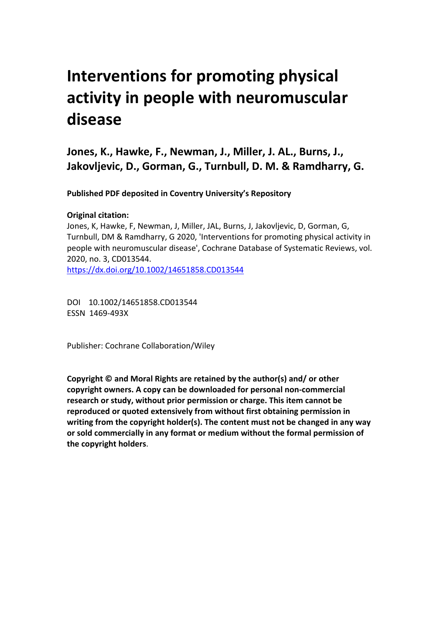# **Interventions for promoting physical activity in people with neuromuscular disease**

**Jones, K., Hawke, F., Newman, J., Miller, J. AL., Burns, J., Jakovljevic, D., Gorman, G., Turnbull, D. M. & Ramdharry, G.** 

**Published PDF deposited in Coventry University's Repository** 

## **Original citation:**

Jones, K, Hawke, F, Newman, J, Miller, JAL, Burns, J, Jakovljevic, D, Gorman, G, Turnbull, DM & Ramdharry, G 2020, 'Interventions for promoting physical activity in people with neuromuscular disease', Cochrane Database of Systematic Reviews, vol. 2020, no. 3, CD013544.

https://dx.doi.org/10.1002/14651858.CD013544

 DOI 10.1002/14651858.CD013544 ESSN 1469-493X

Publisher: Cochrane Collaboration/Wiley

**Copyright © and Moral Rights are retained by the author(s) and/ or other copyright owners. A copy can be downloaded for personal non-commercial research or study, without prior permission or charge. This item cannot be reproduced or quoted extensively from without first obtaining permission in writing from the copyright holder(s). The content must not be changed in any way or sold commercially in any format or medium without the formal permission of the copyright holders**.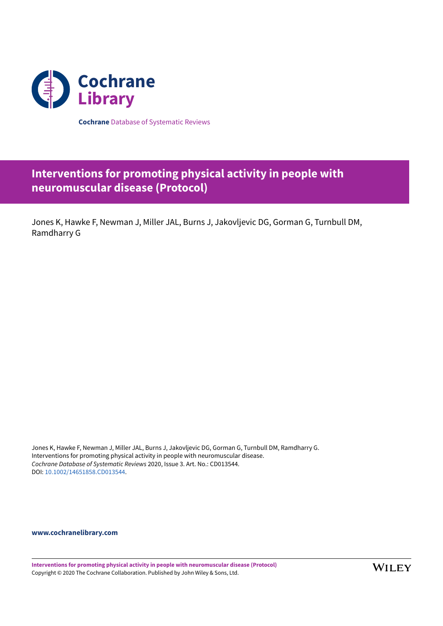

**Cochrane** Database of Systematic Reviews

# **Interventions for promoting physical activity in people with neuromuscular disease (Protocol)**

Jones K, Hawke F, Newman J, Miller JAL, Burns J, Jakovljevic DG, Gorman G, Turnbull DM, Ramdharry G

Jones K, Hawke F, Newman J, Miller JAL, Burns J, Jakovljevic DG, Gorman G, Turnbull DM, Ramdharry G. Interventions for promoting physical activity in people with neuromuscular disease. *Cochrane Database of Systematic Reviews 2020, Issue 3. Art. No.: CD013544.* DOI: [10.1002/14651858.CD013544](https://doi.org/10.1002%2F14651858.CD013544).

**[www.coc ranelibrary.com](https://www.cochranelibrary.com)**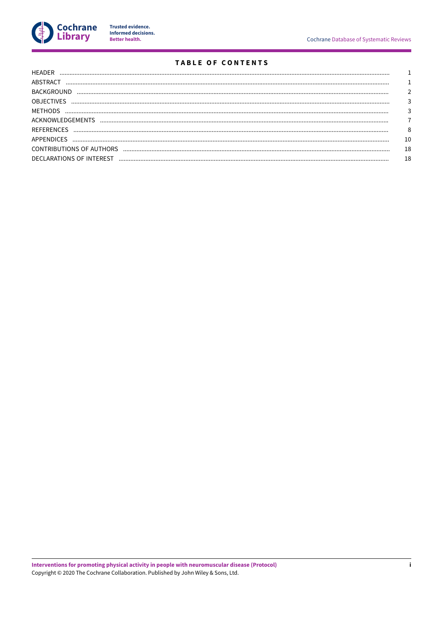

Trusted evidence.<br>Informed decisions.<br>Better health.

## **TABLE OF CONTENTS**

| <b>HFADFR</b>            |    |
|--------------------------|----|
| ABSTRACT                 |    |
| <b>BACKGROUND</b>        |    |
| <b>OBJECTIVES</b>        |    |
| <b>METHODS</b>           |    |
| ACKNOWLEDGEMENTS         |    |
| <b>REFERENCES</b>        | 8  |
| <b>APPENDICES</b>        | 10 |
| CONTRIBUTIONS OF AUTHORS | 18 |
| DECLARATIONS OF INTEREST | 18 |
|                          |    |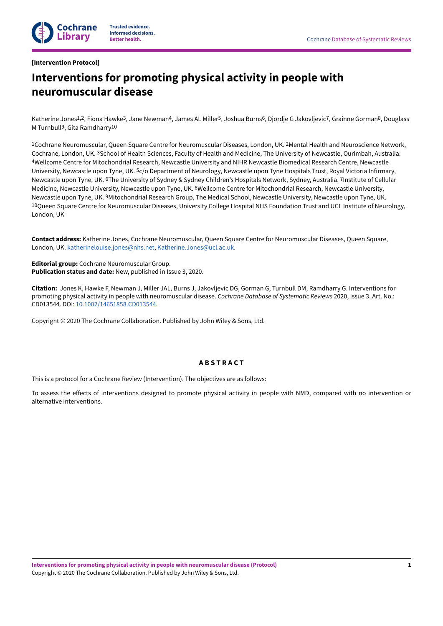# <span id="page-3-0"></span>Interventions for promoting physical activity in people with **neuromuscular disease**

Katherine Jones<sup>1,2</sup>, Fiona Hawke<sup>3</sup>, Jane Newman<sup>4</sup>, James AL Miller<sup>5</sup>, Joshua Burns<sup>6</sup>, Djordje G Jakovljevic<sup>7</sup>, Grainne Gorman<sup>8</sup>, Douglas M Turnbull9, Gita Ramdharry10

<sup>1</sup>Cochrane Neuromuscular, Queen Square Centre for Neuromuscular Diseases, London, UK. <sup>2</sup>Mental Health and Neuroscience Network, Cochrane, London, UK. <sup>3</sup>School of Health Sciences, Faculty of Health and Medicine, The University of Newcastle, Ourimbah, Australia. 4Wellcome Centre for Mitochondrial Research, Newcastle University and NIHR Newcastle Biomedical Research Centre, Newcastle University, Newcastle upon Tyne, UK. <sup>5</sup>c/o Department of Neurology, Newcastle upon Tyne Hospitals Trust, Royal Victoria Infirmary, Newcastle upon Tyne, UK. <sup>6</sup>The University of Sydney & Sydney Children's Hospitals Network, Sydney, Australia. <sup>7</sup>Institute of Cellular Medicine, Newcastle University, Newcastle upon Tyne, UK. <sup>8</sup>Wellcome Centre for Mitochondrial Research, Newcastle University, Newcastle upon Tyne, UK. <sup>9</sup>Mitochondrial Research Group, The Medical School, Newcastle University, Newcastle upon Tyne, UK.  $^{10}$ Queen Square Centre for Neuromuscular Diseases, University College Hospital NHS Foundation Trust and UCL Institute of Neurology, London, UK

**Contact address:** Katherine Jones, Cochrane Neuromuscular, Queen Square Centre for Neuromuscular Diseases, Queen Square, London, UK. katherinelouise.jones@nhs.net, Katherine.Jones@ucl.ac.uk.

### **Editorial group:** Cochrane Neuromuscular Group. **Publication status and date:** New, published in Issue 3, 2020.

**Citation:** Jones K, Hawke F, Newman J, Miller JAL, Burns J, Jakovljevic DG, Gorman G, Turnbull DM, Ramdharry G. Interventions for promoting physical activity in people with neuromuscular disease. *Cochrane Database of Systematic Reviews* 2020, Issue 3. Art. No.: CD013544. DOI: [10.1002/14651858.CD013544.](https://doi.org/10.1002%2F14651858.CD013544)

Copyright © 2020 The Cochrane Collaboration. Published by John Wiley & Sons, Ltd.

## **A B S T R A C T**

<span id="page-3-1"></span>This is a protocol for a Cochrane Review (Intervention). The objectives are as follows:

To assess the effects of interventions designed to promote physical activity in people with NMD, compared with no intervention or alternative interventions.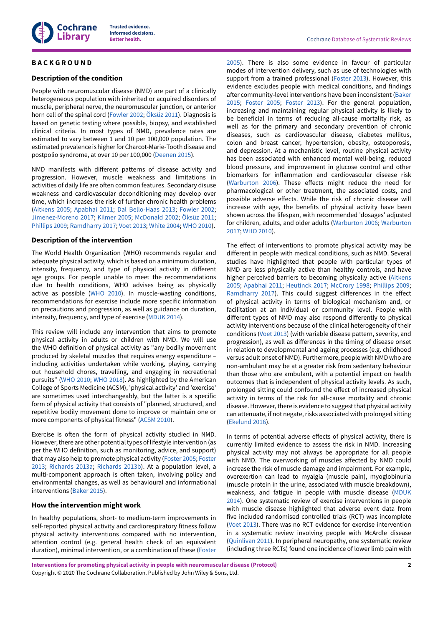

#### **Description of the condition**

People with neuromuscular disease (NMD) are part of a clinically heterogeneous population with inherited or acquired disorders of muscle, peripheral nerve, the neuromuscular junction, or anterior based on genetic testing where possible, biopsy, and established clinical criteria. In most types of NMD, prevalence rates are estimated to vary between 1 and 10 per 100,000 population. The estimated prevalence is higher for Charcot-Marie-Tooth disease and postpolio syndrome, at over 10 per 100,000 [\(Deenen 2015\)](#page-10-2). horn cell of the spinal cord [\(Fowler 2002](#page-10-1); Öksüz 2011). Diagnosis is

progression. However, muscle weakness and limitations in activities of daily life are often common features. Secondary disuse weakness and cardiovascular deconditioning may develop over (Aitkens 2005; [Apabhai 2011](#page-10-4); Dal Bello-Haas 2013; [Fowler 2002](#page-10-1); Phillips 2009; [Ramdharry 2017;](#page-11-3) [Voet 2013](#page-11-4); [White 2004;](#page-11-5) [WHO 2010](#page-12-2)). NMD manifests with different patterns of disease activity and time, which increases the risk of further chronic health problems [Jimenez-Moreno 2017](#page-10-6); [Kilmer 2005](#page-11-0); [McDonald 2002;](#page-11-1) Öksüz 2011;

#### **Description of the intervention**

adequate physical activity, which is based on a minimum duration, intensity, frequency, and type of physical activity in different active as possible ([WHO 2010](#page-12-2)). In muscle-wasting conditions, recommendations for exercise include more specific information on precautions and progression, as well as guidance on duration, intensity, frequency, and type of exercise [\(MDUK 2014](#page-11-6)). The World Health Organization (WHO) recommends regular and age groups. For people unable to meet the recommendations due to health conditions, WHO advises being as physically

physical activity in adults or children with NMD. We will use produced by skeletal muscles that requires energy expenditure including activities undertaken while working, playing, carrying pursuits" [\(WHO 2010](#page-12-2); [WHO 2018\)](#page-12-3). As highlighted by the American College of Sports Medicine (ACSM), 'physical activity' and 'exercise' repetitive bodily movement done to improve or maintain one or more components of physical fitness" [\(ACSM 2010](#page-10-7)). This review will include any intervention that aims to promote the WHO definition of physical activity as "any bodily movement out household chores, travelling, and engaging in recreational are sometimes used interchangeably, but the latter is a specific form of physical activity that consists of "planned, structured, and

Exercise is often the form of physical activity studied in NMD. However, there are other potential types of lifestyle intervention (as [2013](#page-10-9); Richards 2013a; Richards 2013b). At a population level, a multi-component approach is often taken, involving policy and environmental changes, as well as behavioural and informational per the WHO definition, such as monitoring, advice, and support) that may also help to promote physical activity (Foster 2005; Foster interventions [\(Baker 2015\)](#page-10-10).

#### **How the intervention might work**

self-reported physical activity and cardiorespiratory fitness follow physical activity interventions compared with no intervention, attention control (e.g. general health check of an equivalent duration), minimal intervention, or a combination of these (Foster In healthy populations, short- to medium-term improvements in

<span id="page-4-0"></span> $\vdots$  $\vdots$ **BACKGROUND BACKGROUND BACKGROUND 2005**). There is also some evidence in favour of particular modes of intervention delivery, such as use of technologies with support from a trained professional (Foster 2013). However, this evidence excludes people with medical conditions, and findings after community-level interventions have been inconsistent (Baker [2015;](#page-10-10) Foster 2005; Foster 2013). For the general population, increasing and maintaining regular physical activity is likely to be beneficial in terms of reducing all-cause mortality risk, as well as for the primary and secondary prevention of chronic diseases, such as cardiovascular disease, diabetes mellitus, colon and breast cancer, hypertension, obesity, osteoporosis, and depression. At a mechanistic level, routine physical activity has been associated with enhanced mental well-being, reduced blood pressure, and improvement in glucose control and other biomarkers for inflammation and cardiovascular disease risk [\(Warburton 2006](#page-11-9)). These effects might reduce the need for pharmacological or other treatment, the associated costs, and possible adverse effects. While the risk of chronic disease will increase with age, the benefits of physical activity have been shown across the lifespan, with recommended 'dosages' adjusted for children, adults, and older adults ([Warburton 2006](#page-11-9); Warburton [2017;](#page-11-10) [WHO 2010](#page-12-2)).

> $\overline{a}$ The effect of interventions to promote physical activity may be different in people with medical conditions, such as NMD. Several studies have highlighted that people with particular types of NMD are less physically active than healthy controls, and have higher perceived barriers to becoming physically active (Aitkens [2005;](#page-10-3) [Apabhai 2011;](#page-10-4) [Heutinck 2017](#page-10-11); [McCrory 1998;](#page-11-11) Phillips 2009; [Ramdharry 2017](#page-11-3)). This could suggest differences in the effect of physical activity in terms of biological mechanism and, or facilitation at an individual or community level. People with different types of NMD may also respond differently to physical activity interventions because of the clinical heterogeneity of their conditions [\(Voet 2013\)](#page-11-4) (with variable disease pattern, severity, and progression), as well as differences in the timing of disease onset in relation to developmental and ageing processes (e.g. childhood versus adult onset of NMD). Furthermore, people with NMD who are non-ambulant may be at a greater risk from sedentary behaviour than those who are ambulant, with a potential impact on health outcomes that is independent of physical activity levels. As such, prolonged sitting could confound the effect of increased physical activity in terms of the risk for all-cause mortality and chronic disease. However, there is evidence to suggest that physical activity can attenuate, if not negate, risks associated with prolonged sitting [\(Ekelund 2016\)](#page-10-12).

> $\overline{a}$  $\vdots$ In terms of potential adverse effects of physical activity, there is currently limited evidence to assess the risk in NMD. Increasing physical activity may not always be appropriate for all people with NMD. The overworking of muscles affected by NMD could increase the risk of muscle damage and impairment. For example, overexertion can lead to myalgia (muscle pain), myoglobinuria (muscle protein in the urine, associated with muscle breakdown), weakness, and fatigue in people with muscle disease (MDUK [2014\)](#page-11-6). One systematic review of exercise interventions in people with muscle disease highlighted that adverse event data from five included randomised controlled trials (RCT) was incomplete [\(Voet 2013\)](#page-11-4). There was no RCT evidence for exercise intervention in a systematic review involving people with McArdle disease [\(Quinlivan 2011\)](#page-11-12). In peripheral neuropathy, one systematic review (including three RCTs) found one incidence of lower limb pain with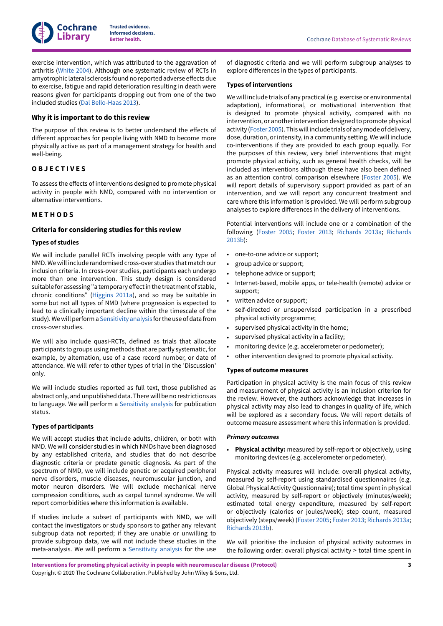exercise intervention, which was attributed to the aggravation of arthritis ([White 2004](#page-11-5)). Although one systematic review of RCTs in amyotrophic lateral sclerosis found no reported adverse effects due reasons given for participants dropping out from one of the two included studies (Dal Bello-Haas 2013). to exercise, fatigue and rapid deterioration resulting in death were

#### **Why it is important to do this review**

different approaches for people living with NMD to become more physically active as part of a management strategy for health and The purpose of this review is to better understand the effects of well-being.

### <span id="page-5-0"></span>**O B J E C T I V E S**

 activity in people with NMD, compared with no intervention or To assess the effects of interventions designed to promote physical alternative interventions.

#### <span id="page-5-1"></span>**M E T H O D S**

#### **Criteria for considering studies for this review**

#### **Types of studies**

NMD. We will include randomised cross-over studies that match our inclusion criteria. In cross-over studies, participants each undergo more than one intervention. This study design is considered suitable for assessing "a temporary effect in the treatment of stable, chronic conditions" (Higgins 2011a), and so may be suitable in study). We will perform a Sensitivity analysis for the use of data from We will include parallel RCTs involving people with any type of some but not all types of NMD (where progression is expected to lead to a clinically important decline within the timescale of the cross-over studies.

participants to groups using methods that are partly systematic, for example, by alternation, use of a case record number, or date of attendance. We will refer to other types of trial in the 'Discussion' We will also include quasi-RCTs, defined as trials that allocate only.

abstract only, and unpublished data. There will be no restrictions as We will include studies reported as full text, those published as to language. We will perform a Sensitivity analysis for publication status.

#### **Types of participants**

diagnostic criteria or predate genetic diagnosis. As part of the pectrum of NMD, we will include genetic or acquired peripheral motor neuron disorders. We will exclude mechanical nerve compression conditions, such as carpal tunnel syndrome. We will report comorbidities where this information is available. We will accept studies that include adults, children, or both with NMD. We will consider studies in which NMDs have been diagnosed by any established criteria, and studies that do not describe nerve disorders, muscle diseases, neuromuscular junction, and

 $\ddot{\phantom{0}}$ contact the investigators or study sponsors to gather any relevant subgroup data not reported; if they are unable or unwilling to provide subgroup data, we will not include these studies in the meta-analysis. We will perform a Sensitivity analysis for the use If studies include a subset of participants with NMD, we will

 $\overline{a}$ of diagnostic criteria and we will perform subgroup analyses to explore differences in the types of participants.

#### **Types of interventions**

 $\overline{a}$ l, i.  $\ddot{\phantom{0}}$  $\overline{a}$  $\overline{a}$ .<br>. We will include trials of any practical (e.g. exercise or environmental adaptation), informational, or motivational intervention that is designed to promote physical activity, compared with no intervention, or another intervention designed to promote physical activity (Foster 2005). This will include trials of any mode of delivery, dose, duration, or intensity, in a community setting. We will include co-interventions if they are provided to each group equally. For the purposes of this review, very brief interventions that might promote physical activity, such as general health checks, will be included as interventions although these have also been defined as an attention control comparison elsewhere (Foster 2005). We will report details of supervisory support provided as part of an intervention, and we will report any concurrent treatment and care where this information is provided. We will perform subgroup analyses to explore differences in the delivery of interventions.

i. Potential interventions will include one or a combination of the following (Foster 2005; Foster 2013; Richards 2013a; Richards [2013b\)](#page-11-8):

- $\overline{a}$ • one-to-one advice or support;
- group advice or support;
- $\overline{a}$ • telephone advice or support:
- Internet-based, mobile apps, or tele-health (remote) advice or support;
- written advice or support;
- self-directed or unsupervised participation in a prescribed physical activity programme;
- supervised physical activity in the home;
- supervised physical activity in a facility;
- $\ddot{\phantom{0}}$ • monitoring device (e.g. accelerometer or pedometer);
- other intervention designed to promote physical activity.

#### **Types of outcome measures**

 $\vdots$  $\ddot{\phantom{0}}$  $\overline{\phantom{a}}$ Participation in physical activity is the main focus of this review and measurement of physical activity is an inclusion criterion for the review. However, the authors acknowledge that increases in physical activity may also lead to changes in quality of life, which will be explored as a secondary focus. We will report details of outcome measure assessment where this information is provided.

#### **Primary outcomes**

 $\ddot{\phantom{0}}$ • Physical activity: measured by self-report or objectively, using monitoring devices (e.g. accelerometer or pedometer).

Physical activity measures will include: overall physical activity, measured by self-report using standardised questionnaires (e.g. Global Physical Activity Questionnaire); total time spent in physical activity, measured by self-report or objectively (minutes/week); estimated total energy expenditure, measured by self-report or objectively (calories or joules/week); step count, measured objectively (steps/week) (Foster 2005; Foster 2013; Richards 2013a; Richards 2013b).

 $\overline{a}$  $\overline{\phantom{a}}$ We will prioritise the inclusion of physical activity outcomes in the following order: overall physical activity  $>$  total time spent in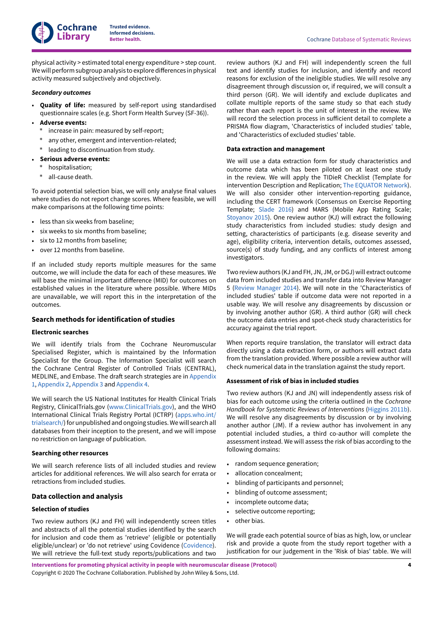

**Cochrane** Trusted evidence.<br> **Library** Better health.

physical activity > estimated total energy expenditure > step count. activity measured subjectively and objectively. We will perform subgroup analysis to explore differences in physical

#### *Second ry outcomes*

- **Quality of life:** measured by self-report using standardised questionnaire scales (e.g. Short Form Health Survey (SF-36)).
- **Adverse events:**
	- \* increa e in pain: mea ured by elf-report;
	- \* any other, emergent and intervention-related;
	- \* leading to di continuation from tudy.
- **Serious adverse events:**
	- hospitalisation;
	- \* all-cause death.

where studies do not report change scores. Where feasible, we will make comparisons at the following time points: To avoid potential selection bias, we will only analyse final values

- less than six weeks from baseline;
- six weeks to six months from baseline;
- six to 12 months from baseline;
- over 12 months from baseline.

outcome, we will include the data for each of these measures. We established values in the literature where possible. Where MIDs are unavailable, we will report this in the interpretation of the If an included study reports multiple measures for the same will base the minimal important difference (MID) for outcomes on outcomes.

#### **Search methods for identification of studies**

#### **Electronic searches**

Specialised Register, which is maintained by the Information Specialist for the Group. The Information Specialist will search MEDLINE, and Embase. The draft search strategies are in Appendix We will identify trials from the Cochrane Neuromuscular the Cochrane Central Register of Controlled Trials (CENTRAL), [1,](#page-12-4) [Appendix 2,](#page-14-0) [Appendix 3](#page-16-0) and [Appendix 4](#page-18-0).

International Clinical Trials Registry Portal (ICTRP) (apps.who.int/ trialsearch/) for unpublished and ongoing studies. We will search all databases from their inception to the present, and we will impose We will search the US National Institutes for Health Clinical Trials Registry, ClinicalTrials.gov (www.ClinicalTrials.gov), and the WHO no restriction on language of publication.

#### **Searching other resources**

articles for additional references. We will also search for errata or retractions from included studies. We will search reference lists of all included studies and review

#### **Data collection and analysis**

#### **Selection of studies**

Two review authors (KJ and FH) will independently screen titles eligible/unclear) or 'do not retrieve' using Covidence [\(Covidence\)](#page-10-14). and abstracts of all the potential studies identified by the search for inclusion and code them as 'retrieve' (eligible or potentially engible, antitial, yet as necreated admig corradice (concerner).<br>We will retrieve the full-text study reports/publications and two<br>justification for our judgement in the 'Risk of bias' table. We will

 $\overline{a}$ ĺ .<br>I review authors (KJ and FH) will independently screen the full text and identify studies for inclusion, and identify and record reasons for exclusion of the ineligible studies. We will resolve any disagreement through discussion or, if required, we will consult a third person (GR). We will identify and exclude duplicates and collate multiple reports of the same study so that each study rather than each report is the unit of interest in the review. We will record the selection process in sufficient detail to complete a PRISMA flow diagram, 'Characteristics of included studies' table, and 'Characteristics of excluded studies' table.

#### **Data extraction and management**

 $\overline{a}$  $\overline{\phantom{a}}$  $\overline{a}$ i. .<br>I We will use a data extraction form for study characteristics and outcome data which has been piloted on at least one study in the review. We will apply the TIDieR Checklist (Template for intervention Description and Replication; [The EQUATOR Network\)](#page-11-13). We will also consider other intervention-reporting guidance, including the CERT framework (Consensus on Exercise Reporting Template; [Slade 2016](#page-11-14)) and MARS (Mobile App Rating Scale; [Stoyanov 2015](#page-11-15)). One review author (KJ) will extract the following study characteristics from included studies: study design and setting, characteristics of participants (e.g. disease severity and age), eligibility criteria, intervention details, outcomes assessed, source(s) of study funding, and any conflicts of interest among investigators.

 $\overline{a}$  $\overline{a}$  $\ddot{\phantom{0}}$  $\overline{a}$ Two review authors (KJ and FH, JN, JM, or DGJ) will extract outcome data from included studies and transfer data into Review Manager 5 [\(Review Manager 2014\)](#page-11-16). We will note in the 'Characteristics of included studies' table if outcome data were not reported in a usable way. We will resolve any disagreements by discussion or by involving another author (GR). A third author (GR) will check the outcome data entries and spot-check study characteristics for accuracy against the trial report.

 $\ddot{\phantom{0}}$ When reports require translation, the translator will extract data directly using a data extraction form, or authors will extract data from the translation provided. Where possible a review author will check numerical data in the translation against the study report.

#### **Assessment of risk of bias in included studies**

 $\overline{\phantom{a}}$ Two review authors (KJ and JN) will independently assess risk of bias for each outcome using the criteria outlined in the Cochrane *Handbook for Systematic Reviews of Interventions* (Higgins 2011b). We will resolve any disagreements by discussion or by involving another author (JM). If a review author has involvement in any potential included studies, a third co-author will complete the assessment instead. We will assess the risk of bias according to the following domains:

- random sequence generation;
- allocation concealment;
- $\vdots$ • blinding of participants and personnel;
- $\vdots$ • blinding of outcome assessment;
- incomplete outcome data;
- selective outcome reporting;
- other bias.

 $\overline{\phantom{a}}$ We will grade each potential source of bias as high, low, or unclear risk and provide a quote from the study report together with a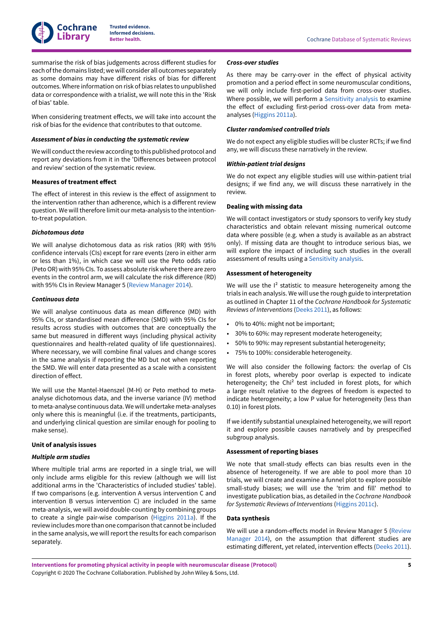

summarise the risk of bias judgements across different studies for i outcomes. Where information on risk of bias relates to unpublished each of the domains listed; we will consider all outcomes separately as some domains may have different risks of bias for different data or correspondence with a trialist, we will note this in the 'Risk of bias' table.

When considering treatment effects, we will take into account the risk of bias for the evidence that contributes to that outcome.

#### Assessment of bias in conducting the systematic review

report any deviations from it in the 'Differences between protocol We will conduct the review according to this published protocol and and review' section of the systematic review.

#### **Measures of treatment effect**

the intervention rather than adherence, which is a different review question. We will therefore limit our meta-analysis to the intention-The effect of interest in this review is the effect of assignment to to-treat population.

#### **Dichotomous data**

We will analyse dichotomous data as risk ratios (RR) with 95% confidence intervals (CIs) except for rare events (zero in either arm (Peto OR) with 95% CIs. To assess absolute risk where there are zero events in the control arm, we will calculate the risk difference (RD) or less than 1%), in which case we will use the Peto odds ratio with 95% CIs in Review Manager 5 [\(Review Manager 2014](#page-11-16)).

#### **Continuous data**

results across studies with outcomes that are conceptually the same but measured in different ways (including physical activity questionnaires and health-related quality of life questionnaires). Where necessary, we will combine final values and change scores direction of effect. We will analyse continuous data as mean difference (MD) with 95% CIs, or standardised mean difference (SMD) with 95% CIs for in the same analysis if reporting the MD but not when reporting the SMD. We will enter data presented as a scale with a consistent

analyse dichotomous data, and the inverse variance (IV) method to meta-analyse continuous data. We will undertake meta-analyses We will use the Mantel-Haenszel (M-H) or Peto method to metaonly where this is meaningful (i.e. if the treatments, participants, and underlying clinical question are similar enough for pooling to make sense).

#### **Unit of analysis issues**

#### *Multiple rm studies*

Where multiple trial arms are reported in a single trial, we will additional arms in the 'Characteristics of included studies' table).  $\ddot{\phantom{a}}$ intervention B versus intervention C) are included in the same meta-analysis, we will avoid double-counting by combining groups review includes more than one comparison that cannot be included Í only include arms eligible for this review (although we will list If two comparisons (e.g. intervention A versus intervention C and to create a single pair-wise comparison (Higgins 2011a). If the **Data synthesis** 

#### *Cross-over studies*

 $\ddot{\phantom{0}}$  $\ddot{\phantom{0}}$ As there may be carry-over in the effect of physical activity promotion and a period effect in some neuromuscular conditions, we will only include first-period data from cross-over studies. Where possible, we will perform a Sensitivity analysis to examine the effect of excluding first-period cross-over data from metaanalyses (Higgins 2011a).

#### **Cluster randomised controlled trials**

 $\overline{\phantom{a}}$ We do not expect any eligible studies will be cluster RCTs; if we find any, we will discuss these narratively in the review.

#### **Within-patient trial designs**

 $\overline{a}$ We do not expect any eligible studies will use within-patient trial designs; if we find any, we will discuss these narratively in the review.

#### **Dealing with missing data**

 $\overline{a}$ i We will contact investigators or study sponsors to verify key study characteristics and obtain relevant missing numerical outcome data where possible (e.g. when a study is available as an abstract only). If missing data are thought to introduce serious bias, we will explore the impact of including such studies in the overall assessment of results using a Sensitivity analysis.

#### **Assessment of heterogeneity**

 $\overline{a}$ i. We will use the  $I<sup>2</sup>$  statistic to measure heterogeneity among the trials in each analysis. We will use the rough guide to interpretation as outlined in Chapter 11 of the *Cochrane Handbook for Systematic Reviews of Interventions* (Deeks 2011), as follows:

- 0% to 40%: might not be important;
- 30% to 60%: may represent moderate heterogeneity;
- 50% to 90%: may represent substantial heterogeneity;
- 75% to 100%: considerable heterogeneity.

 $\overline{a}$ We will also consider the following factors: the overlap of CIs in forest plots, whereby poor overlap is expected to indicate heterogeneity; the Chi<sup>2</sup> test included in forest plots, for which a large result relative to the degrees of freedom is expected to indicate heterogeneity; a low P value for heterogeneity (less than 0.10) in forest plots.

If we identify substantial unexplained heterogeneity, we will report it and explore possible causes narratively and by prespecified subgroup analysis.

#### **Assessment of reporting biases**

 $\overline{a}$  $\overline{\phantom{a}}$  $\overline{a}$  $\ddot{\phantom{0}}$ We note that small-study effects can bias results even in the absence of heterogeneity. If we are able to pool more than 10 trials, we will create and examine a funnel plot to explore possible small-study biases; we will use the 'trim and fill' method to investigate publication bias, as detailed in the *Cochrane Handbook for Systematic Reviews of Interventions* (Higgins 2011c).

 $\overline{a}$  $\vdots$ in the same analysis, we will report the results for each comparison<br>in the same analysis, we will report the results for each comparison<br>Separately.<br>Extimating different, yet related, intervention effects (Deeks 2011).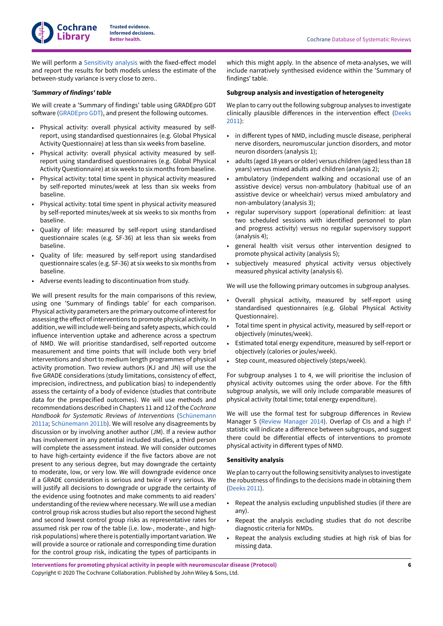between-study variance is very close to zero.. We will perform a Sensitivity analysis with the fixed-effect model and report the results for both models unless the estimate of the

#### 'Summary of findings' table

software [\(GRADEpro GDT\)](#page-10-18), and present the following outcomes. We will create a 'Summary of findings' table using GRADEpro GDT

- Physical activity: overall physical activity measured by selfreport, using standardised questionnaires (e.g. Global Physical Activity Questionnaire) at less than six weeks from baseline.
- Physical activity: overall physical activity measured by selfreport using standardised questionnaires (e.g. Global Physical Activity Questionnaire) at six weeks to six months from baseline.
- Physical activity: total time spent in physical activity measured by self-reported minutes/week at less than six weeks from ba eline.
- Physical activity: total time spent in physical activity measured by self-reported minutes/week at six weeks to six months from baseline.
- Quality of life: measured by self-report using standardised questionnaire scales (e.g. SF-36) at less than six weeks from baseline.
- Quality of life: measured by self-report using standardised questionnaire scales (e.g. SF-36) at six weeks to six months from baseline.
- Adverse events leading to discontinuation from study.

using one 'Summary of findings table' for each comparison. Physical activity parameters are the primary outcome of interest for assessing the effect of interventions to promote physical activity. In addition, we will include well-being and safety aspects, which could measurement and time points that will include both very brief interventions and short to medium length programmes of physical activity promotion. Two review authors (KJ and JN) will use the imprecision, indirectness, and publication bias) to independently assess the certainty of a body of evidence (studies that contribute recommendations described in Chapters 11 and 12 of the *Cochrane* [2011a;](#page-11-17) [Schünemann 2011b\)](#page-11-18). We will resolve any disagreements by discussion or by involving another author (JM). If a review author has involvement in any potential included studies, a third person present to any serious degree, but may downgrade the certainty understanding of the review where necessary. We will use a median control group risk across studies but also report the second highest assumed risk per row of the table (i.e. low-, moderate-, and highrisk populations) where there is potentially important variation. We We will present results for the main comparisons of this review, influence intervention uptake and adherence across a spectrum of NMD. We will prioritise standardised, self-reported outcome five GRADE considerations (study limitations, consistency of effect, data for the prespecified outcomes). We will use methods and *Handbook for Systematic Reviews of Interventions (Schünemann* will complete the assessment instead. We will consider outcomes to have high-certainty evidence if the five factors above are not to moderate, low, or very low. We will downgrade evidence once if a GRADE consideration is serious and twice if very serious. We will justify all decisions to downgrade or upgrade the certainty of the evidence using footnotes and make comments to aid readers' and second lowest control group risks as representative rates for will provide a source or rationale and corresponding time duration for the control group risk, indicating the types of participants in

 $\overline{a}$ which this might apply. In the absence of meta-analyses, we will include narratively synthesised evidence within the 'Summary of findings' table.

#### **Subgroup analysis and investigation of eterogeneity**

 $\overline{a}$ We plan to carry out the following subgroup analyses to investigate clinically plausible differences in the intervention effect (Deeks [2011\)](#page-10-16):

- in different types of NMD, including muscle disease, peripheral nerve disorders, neuromuscular junction disorders, and motor neuron disorders (analysis 1);
- i. adults (aged 18 years or older) versus children (aged less than 18 years) versus mixed adults and children (analysis 2):
- $\ddot{\phantom{0}}$  $\ddot{\phantom{0}}$  $\overline{\phantom{a}}$  $\overline{a}$ ambulatory (independent walking and occasional use of an assistive device) versus non-ambulatory (habitual use of an assistive device or wheelchair) versus mixed ambulatory and non-ambulatory (analysis 3);
- $\overline{a}$ • regular supervisory support (operational definition: at least two scheduled sessions with identified personnel to plan and progress activity) versus no regular supervisory support  $(analysis 4);$
- $\overline{a}$ general health visit versus other intervention designed to promote physical activity (analysis 5);
- subjectively measured physical activity versus objectively measured physical activity (analysis 6).

 $\overline{a}$ We will use the following primary outcomes in subgroup analyses.

- i • Overall physical activity, measured by self-report using standardised questionnaires (e.g. Global Physical Activity Questionnaire).
- Total time spent in physical activity, measured by self-report or objectively (minutes/week).
- Estimated total energy expenditure, measured by self-report or objectively (calories or joules/week).
- Step count, measured objectively (steps/week).

 $\ddot{\phantom{0}}$ For subgroup analyses 1 to 4, we will prioritise the inclusion of physical activity outcomes using the order above. For the fifth subgroup analysis, we will only include comparable measures of physical activity (total time; total energy expenditure).

 $\overline{a}$  $\ddot{\phantom{0}}$  $\overline{\phantom{a}}$ We will use the formal test for subgroup differences in Review Manager 5 [\(Review Manager 2014](#page-11-16)). Overlap of CIs and a high I<sup>2</sup> statistic will indicate a difference between subgroups, and suggest there could be differential effects of interventions to promote physical activity in different types of NMD.

#### <span id="page-8-0"></span>**Sensitivity analysis**

 $\overline{a}$  $\overline{\phantom{a}}$ We plan to carry out the following sensitivity analyses to investigate the robustness of findings to the decisions made in obtaining them (Deeks 2011).

- $\ddot{\phantom{0}}$ • Repeat the analysis excluding unpublished studies (if there are any).
- $\ddot{\phantom{0}}$ • Repeat the analysis excluding studies that do not describe diagnostic criteria for NMDs.
- $\ddot{\phantom{0}}$ Repeat the analysis excluding studies at high risk of bias for missing data.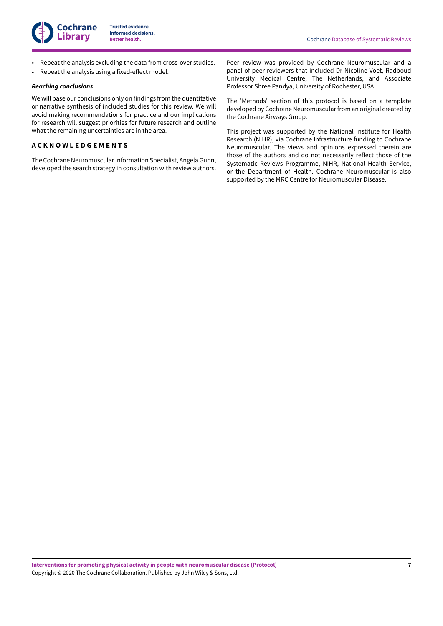

- Repeat the analysis excluding the data from cross-over studies.
- Repeat the analysis using a fixed-effect model.

#### *Re ching conclusions*

We will base our conclusions only on findings from the quantitative or narrative synthesis of included studies for this review. We will avoid making recommendations for practice and our implications for research will suggest priorities for future research and outline what the remaining uncertainties are in the area.

#### <span id="page-9-0"></span>**A C K N O W L E D G E M E N T S**

developed the search strategy in consultation with review authors. The Cochrane Neuromuscular Information Specialist, Angela Gunn,

 $\overline{a}$  $\ddot{\phantom{0}}$ Peer review was provided by Cochrane Neuromuscular and a panel of peer reviewers that included Dr Nicoline Voet, Radboud University Medical Centre, The Netherlands, and Associate Professor Shree Pandya, University of Rochester, USA.

 $\overline{\phantom{a}}$ The 'Methods' section of this protocol is based on a template developed by Cochrane Neuromuscular from an original created by the Cochrane Airways Group.

This project was supported by the National Institute for Health Research (NIHR), via Cochrane Infrastructure funding to Cochrane Neuromuscular. The views and opinions expressed therein are those of the authors and do not necessarily reflect those of the Systematic Reviews Programme, NIHR, National Health Service, or the Department of Health. Cochrane Neuromuscular is also supported by the MRC Centre for Neuromuscular Disease.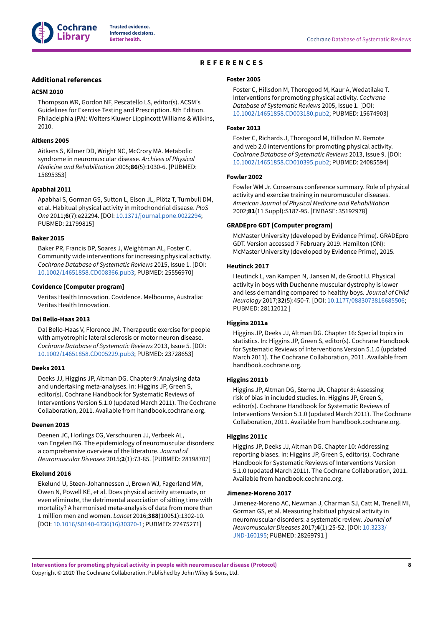

### **REFERENCES**

#### <span id="page-10-0"></span>**Additional references**

#### <span id="page-10-7"></span>**ACSM 2010**

Thompson WR, Gordon NF, Pescatello LS, editor(s). ACSM's Guidelines for Exercise Testing and Prescription. 8th Edition. Philadelphia (PA): Wolters Kluwer Lippincott Williams & Wilkins, 2010.

#### <span id="page-10-3"></span>**Aitkens 2005**

Aitkens S, Kilmer DD, Wright NC, McCrory MA. Metabolic syndrome in neuromuscular disease. Archives of Physical *Medicine and Rehabilitation* 2005;**86**(5):1030-6. [PUBMED: 15895353]

#### <span id="page-10-4"></span>**Apab ai 2011**

Apabhai S, Gorman GS, Sutton L, Elson JL, Plötz T, Turnbull DM, et al. Habitual physical activity in mitochondrial disease. PloS *One* 2011;**6**(7):e22294. [DOI: [10.1371/journal.pone.0022294](https://doi.org/10.1371%2Fjournal.pone.0022294); PUBMED: 21799815]

#### <span id="page-10-10"></span>**Baker 2015**

Baker PR, Francis DP, Soares J, Weightman AL, Foster C. Community wide interventions for increasing physical activity. *Cochrane Database of Systematic Reviews* 2015, Issue 1. [DOI: [10.1002/14651858.CD008366.pub3](https://doi.org/10.1002%2F14651858.CD008366.pub3); PUBMED: 25556970]

#### <span id="page-10-14"></span> **Covidence [Computer program]**

Veritas Health Innovation. Covidence. Melbourne, Australia: Veritas Health Innovation.

#### <span id="page-10-5"></span>**Dal Bello-Haas 2013**

Dal Bello-Haas V, Florence JM. Therapeutic exercise for people with amyotrophic lateral sclerosis or motor neuron disease. *Cochrane Database of Systematic Reviews* 2013, Issue 5. [DOI: [10.1002/14651858.CD005229.pub3](https://doi.org/10.1002%2F14651858.CD005229.pub3); PUBMED: 23728653]

#### <span id="page-10-16"></span>**Deeks 2011**

Deeks JJ, Higgins JP, Altman DG. Chapter 9: Analysing data and undertaking meta-analyses. In: Higgins JP, Green S, editor(s). Cochrane Handbook for Systematic Reviews of Interventions Version 5.1.0 (updated March 2011). The Cochrane Collaboration, 2011. Available from handbook.cochrane.org.

#### <span id="page-10-2"></span>**Deenen 2015**

van Engelen BG. The epidemiology of neuromuscular disorders: a comprehen ive overview of the literature. *Jou nal of*  Deenen JC, Horlings CG, Verschuuren JJ, Verbeek AL, *Neu omuscula Diseases* 2015;**2**(1):73-85. [PUBMED: 28198707]

#### <span id="page-10-12"></span>**Ekelund 2016**

Ekelund U, Steen-Johannessen J, Brown WJ, Fagerland MW, Owen N, Powell KE, et al. Does physical activity attenuate, or even eliminate, the detrimental association of sitting time with mortality? A harmonised meta-analysis of data from more than 1 million men and women. *Lancet* 2016;**388**(10051):1302-10. [DOI: [10.1016/S0140-6736\(16\)30370-1](https://doi.org/10.1016%2FS0140-6736%2816%2930370-1); PUBMED: 27475271]

#### <span id="page-10-8"></span>**Foster 2005**

.<br>I  Foster C, Hillsdon M, Thorogood M, Kaur A, Wedatilake T. Interventions for promoting physical activity. *Cochrane* **Database of Systematic Reviews 2005, Issue 1. [DOI:** [10.1002/14651858.CD003180.pub2;](https://doi.org/10.1002%2F14651858.CD003180.pub2) PUBMED: 15674903]

#### <span id="page-10-9"></span>**Foster 2013**

Foster C, Richards J, Thorogood M, Hillsdon M. Remote and web 2.0 interventions for promoting physical activity. *Cochrane Database of Systematic Reviews* 2013, Issue 9. [DOI: [10.1002/14651858.CD010395.pub2;](https://doi.org/10.1002%2F14651858.CD010395.pub2) PUBMED: 24085594]

#### <span id="page-10-1"></span>**Fowler 2002**

l,  Fowler WM Jr. Consensus conference summary. Role of physical activity and exercise training in neuromuscular diseases. *Ame ican Jou nal of Physical Medicine and Rehabilitation*  2002;**81**(11 Suppl):S187-95. [EMBASE: 35192978]

#### <span id="page-10-18"></span>**GRADEpro GDT [Computer program]**

 $\ddot{\phantom{0}}$  $\ddot{\phantom{0}}$ McMaster University (developed by Evidence Prime). GRADEpro GDT. Version accessed 7 February 2019. Hamilton (ON): McMaster University (developed by Evidence Prime), 2015.

#### <span id="page-10-11"></span>**Heutinck 2017**

Heutinck L, van Kampen N, Jansen M, de Groot IJ. Physical activity in boys with Duchenne muscular dystrophy is lower and less demanding compared to healthy boys. *Journal of Child Neu ology* 2017;**32**(5):450-7. [DOI: [10.1177/0883073816685506;](https://doi.org/10.1177%2F0883073816685506) PUBMED: 28112012 ]

#### <span id="page-10-13"></span>**Higgins 2011a**

 $\ddot{\phantom{0}}$ Higgins JP, Deeks JJ, Altman DG. Chapter 16: Special topics in statistics. In: Higgins JP, Green S, editor(s). Cochrane Handbook for Systematic Reviews of Interventions Version 5.1.0 (updated March 2011). The Cochrane Collaboration, 2011. Available from handbook.cochrane.org.

#### <span id="page-10-15"></span>**Higgins 2011b**

 $\ddot{\phantom{0}}$ i. Higgins JP, Altman DG, Sterne JA. Chapter 8: Assessing risk of bias in included studies. In: Higgins JP, Green S, editor(s). Cochrane Handbook for Systematic Reviews of Interventions Version 5.1.0 (updated March 2011). The Cochrane Collaboration, 2011. Available from handbook.cochrane.org.

#### <span id="page-10-17"></span>**Higgins 2011c**

 $\vdots$  $\overline{a}$ Higgins JP, Deeks JJ, Altman DG, Chapter 10: Addressing reporting biases. In: Higgins JP, Green S, editor(s). Cochrane Handbook for Systematic Reviews of Interventions Version 5.1.0 (updated March 2011). The Cochrane Collaboration, 2011. Available from handbook.cochrane.org.

#### <span id="page-10-6"></span>**Jimenez-Moreno 2017**

Jimenez-Moreno AC, Newman J, Charman SJ, Catt M, Trenell MI, Gorman GS, et al. Measuring habitual physical activity in neuromu cular di order : a y tematic review. *Jou nal of Neu omuscula Diseases* 2017;**4**(1):25-52. [DOI: [10.3233/](https://doi.org/10.3233%2FJND-160195)  [JND-160195;](https://doi.org/10.3233%2FJND-160195) PUBMED: 28269791 ]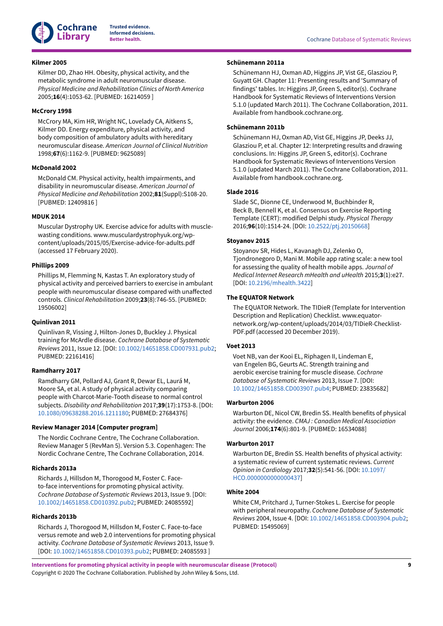

**Trusted evidence.**<br>Informed decisions.

#### <span id="page-11-0"></span>**Kilmer 2005**

Kilmer DD, Zhao HH. Obesity, physical activity, and the metabolic syndrome in adult neuromuscular disease.  **Physical Medicine and Rehabilitation Clinics of North America** 2005;**16**(4):1053-62. [PUBMED: 16214059 ]

#### <span id="page-11-11"></span>**McCrory 1998**

McCrory MA, Kim HR, Wright NC, Lovelady CA, Aitkens S, Kilmer DD. Energy expenditure, physical activity, and body composition of ambulatory adults with hereditary neuromu cular di ea e. *Ame ican Jou nal of Clinical Nut ition*  1998;**67**(6):1162-9. [PUBMED: 9625089]

#### <span id="page-11-1"></span>**McDonald 2002**

McDonald CM. Physical activity, health impairments, and disability in neuromuscular disease. American Journal of *Physical Medicine and Rehabilitation* 2002;**81**(Suppl):S108-20. [PUBMED: 12409816 ]

#### <span id="page-11-6"></span>**MDUK 2014**

Muscular Dystrophy UK. Exercise advice for adults with musclewasting conditions. www.musculardystrophyuk.org/wp-(accessed 17 February 2020). content/uploads/2015/05/Exercise-advice-for-adults.pdf

#### <span id="page-11-2"></span>**Phillips 2009**

Phillips M, Flemming N, Kastas T. An exploratory study of physical activity and perceived barriers to exercise in ambulant people with neuromuscular disease compared with unaffected control . *Clinical Rehabilitation* 2009;**23**(8):746-55. [PUBMED: 19506002]

#### <span id="page-11-12"></span>**Quinlivan 2011**

Quinlivan R, Vissing J, Hilton-Jones D, Buckley J. Physical training for McArdle di ea e. *Coch ane Database of Systematic Reviews* 2011, Issue 12. [DOI: [10.1002/14651858.CD007931.pub2](https://doi.org/10.1002%2F14651858.CD007931.pub2); PUBMED: 22161416]

#### <span id="page-11-3"></span>**Ramdharry 2017**

Ramdharry GM, Pollard AJ, Grant R, Dewar EL, Laurá M, Moore SA, et al. A study of physical activity comparing people with Charcot-Marie-Tooth disease to normal control  ubject . *Disability and Rehabilitation* 2017;**39**(17):1753-8. [DOI: [10.1080/09638288.2016.1211180;](https://doi.org/10.1080%2F09638288.2016.1211180) PUBMED: 27684376]

#### <span id="page-11-16"></span> **Review Manager 2014 [Computer program]**

 The Nordic Cochrane Centre, The Cochrane Collaboration. Review Manager 5 (RevMan 5). Version 5.3. Copenhagen: The Nordic Cochrane Centre, The Cochrane Collaboration, 2014.

#### <span id="page-11-7"></span>**Ric ards 2013a**

Richards J, Hillsdon M, Thorogood M, Foster C. Faceto-face interventions for promoting physical activity. *Cochrane Database of Systematic Reviews* 2013, Issue 9. [DOI: [10.1002/14651858.CD010392.pub2](https://doi.org/10.1002%2F14651858.CD010392.pub2); PUBMED: 24085592]

#### <span id="page-11-8"></span>**Richards 2013b**

Richards J, Thorogood M, Hillsdon M, Foster C. Face-to-face versus remote and web 2.0 interventions for promoting physical activity. Cochrane Database of Systematic Reviews 2013, Issue 9. [DOI: [10.1002/14651858.CD010393.pub2](https://doi.org/10.1002%2F14651858.CD010393.pub2); PUBMED: 24085593]

#### <span id="page-11-17"></span>**Sc ünemann 2011a**

l,  $\overline{a}$ Schünemann HJ, Oxman AD, Higgins JP, Vist GE, Glasziou P, Guyatt GH. Chapter 11: Presenting results and 'Summary of findings' tables. In: Higgins JP, Green S, editor(s). Cochrane Handbook for Systematic Reviews of Interventions Version 5.1.0 (updated March 2011). The Cochrane Collaboration, 2011. Available from handbook.cochrane.org.

#### <span id="page-11-18"></span>Schünemann 2011b

l,  $\overline{a}$ Schünemann HJ, Oxman AD, Vist GE, Higgins JP, Deeks JJ, Glasziou P, et al. Chapter 12: Interpreting results and drawing conclusions. In: Higgins JP, Green S, editor(s). Cochrane Handbook for Systematic Reviews of Interventions Version 5.1.0 (updated March 2011). The Cochrane Collaboration, 2011. Available from handbook.cochrane.org.

### <span id="page-11-14"></span>**Slade 2016**

 $\ddot{\phantom{0}}$ Slade SC, Dionne CE, Underwood M, Buchbinder R, Beck B, Bennell K, et al. Consensus on Exercise Reporting Template (CERT): modified Delphi study. *Physical Therapy* 2016;**96**(10):1514-24. [DOI: [10.2522/ptj.20150668](https://doi.org/10.2522%2Fptj.20150668)]

#### <span id="page-11-15"></span>**Stoyanov 2015**

 $\ddot{\phantom{0}}$  Stoyanov SR, Hides L, Kavanagh DJ, Zelenko O, Tjondronegoro D, Mani M. Mobile app rating scale: a new tool for assessing the quality of health mobile apps. *Journal of Medical Internet Research mHealth and uHealth* 2015;3(1):e27. [DOI: [10.2196/mhealth.3422\]](https://doi.org/10.2196%2Fmhealth.3422)

#### <span id="page-11-13"></span>**The EQUATOR Network**

 $\overline{a}$  $\ddot{\phantom{0}}$ The EQUATOR Network. The TIDieR (Template for Intervention Description and Replication) Checklist. www.equatornetwork.org/wp-content/uploads/2014/03/TIDieR-Checklist-PDF.pdf (accessed 20 December 2019).

#### <span id="page-11-4"></span>**Voet 2013**

 Voet NB, van der Kooi EL, Riphagen II, Lindeman E, van Engelen BG, Geurts AC. Strength training and aerobic exercise training for muscle disease. *Cochrane Database of Systematic Reviews* 2013, Issue 7. [DOI: [10.1002/14651858.CD003907.pub4;](https://doi.org/10.1002%2F14651858.CD003907.pub4) PUBMED: 23835682]

#### <span id="page-11-9"></span>**Warburton 2006**

Warburton DE, Nicol CW, Bredin SS. Health benefits of physical activity: the evidence. *CMAJ : Canadian Medical Association Jou nal* 2006;**174**(6):801-9. [PUBMED: 16534088]

#### <span id="page-11-10"></span>**Warburton 2017**

Warburton DE, Bredin SS. Health benefits of physical activity: a systematic review of current systematic reviews. Current *Opinion in Ca diology* 2017;**32**(5):541-56. [DOI: [10.1097/](https://doi.org/10.1097%2FHCO.0000000000000437) [HCO.0000000000000437\]](https://doi.org/10.1097%2FHCO.0000000000000437)

#### <span id="page-11-5"></span>**White 2004**

White CM, Pritchard J, Turner-Stokes L. Exercise for people with peripheral neuropathy. *Coch ane Database of Systematic Reviews* 2004, Issue 4. [DOI: [10.1002/14651858.CD003904.pub2;](https://doi.org/10.1002%2F14651858.CD003904.pub2) PUBMED: 15495069]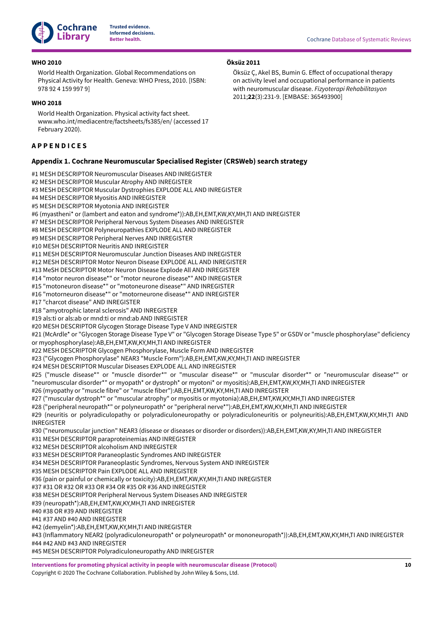

**Trusted evidence.**<br>Informed decisions.

World Health Organization. Global Recommendations on Physical Activity for Health. Geneva: WHO Press, 2010. [ISBN: 978 92 4 159 997 9] with neuromu cular di ea e. *Fizyote api Rehabilitasyon* 

#### <span id="page-12-3"></span>**WHO 2018**

World Health Organization. Physical activity fact sheet. www.who.int/mediacentre/factsheets/fs385/en/ (accessed 17 February 2020).

#### <span id="page-12-0"></span>**A P P E N D I C E S**

#### <span id="page-12-4"></span>Appendix 1. Cochrane Neuromuscular Specialised Register (CRSWeb) search strategy

#6 (myastheni\* or (lambert and eaton and syndrome\*)):AB,EH,EMT,KW,KY,MH,TI AND INREGISTER #15 "motoneuron disease\*" or "motoneurone disease\*" AND INREGISTER #16 "motorneuron disease\*" or "motorneurone disease\*" AND INREGISTER #18 "amyotrophic lateral sclerosis" AND INREGISTER or myophosphorylase):AB,EH,EMT,KW,KY,MH,TI AND INREGISTER "neuromuscular disorder\*" or myopath\* or dystroph\* or myotoni\* or myositis):AB,EH,EMT,KW,KY,MH,TI AND INREGISTER #28 ("peripheral neuropath\*" or polyneuropath\* or "peripheral nerve\*"):AB,EH,EMT,KW,KY,MH,TI AND INREGISTER #30 ("neuromuscular junction" NEAR3 (disease or diseases or disorder or disorders)):AB,EH,EMT,KW,KY,MH,TI AND INREGISTER #39 (neuropath\*):AB,EH,EMT,KW,KY,MH,TI AND INREGISTER #42 (demyelin\*):AB,EH,EMT,KW,KY,MH,TI AND INREGISTER #43 (Inflammatory NEAR2 (polyradiculoneuropath\* or polyneuropath\* or mononeuropath\*)):AB,EH,EMT,KW,KY,MH,TI AND INREGISTER #1 MESH DESCRIPTOR Neuromuscular Diseases AND INREGISTER #2 MESH DESCRIPTOR Muscular Atrophy AND INREGISTER #3 MESH DESCRIPTOR Muscular Dystrophies EXPLODE ALL AND INREGISTER #4 MESH DESCRIPTOR Myositis AND INREGISTER #5 MESH DESCRIPTOR Myotonia AND INREGISTER #7 MESH DESCRIPTOR Peripheral Nervous System Diseases AND INREGISTER #8 MESH DESCRIPTOR Polyneuropathies EXPLODE ALL AND INREGISTER #9 MESH DESCRIPTOR Peripheral Nerves AND INREGISTER #10 MESH DESCRIPTOR Neuritis AND INREGISTER #11 MESH DESCRIPTOR Neuromuscular Junction Diseases AND INREGISTER #12 MESH DESCRIPTOR Motor Neuron Disease EXPLODE ALL AND INREGISTER #13 MeSH DESCRIPTOR Motor Neuron Disease Explode All AND INREGISTER #14 "motor neuron disease\*" or "motor neurone disease\*" AND INREGISTER #17 "charcot disease" AND INREGISTER #19 als:ti or als:ab or mnd:ti or mnd:ab AND INREGISTER #20 MESH DESCRIPTOR Glycogen Storage Disease Type V AND INREGISTER #21 (McArdle\* or "Glycogen Storage Disease Type V" or "Glycogen Storage Disease Type 5" or GSDV or "muscle phosphorylase" deficiency #22 MESH DESCRIPTOR Glycogen Phosphorylase, Muscle Form AND INREGISTER #23 ("Glycogen Phosphorylase" NEAR3 "Muscle Form"):AB,EH,EMT,KW,KY,MH,TI AND INREGISTER #24 MESH DESCRIPTOR Muscular Diseases EXPLODE ALL AND INREGISTER #25 ("muscle disease\*" or "muscle disorder\*" or "muscular disease\*" or "muscular disorder\*" or "neuromuscular disease\*" or #26 (myopathy or "muscle fibre" or "muscle fiber"):AB,EH,EMT,KW,KY,MH,TI AND INREGISTER #27 ("muscular dystroph\*" or "muscular atrophy" or myositis or myotonia):AB,EH,EMT,KW,KY,MH,TI AND INREGISTER #29 (neuritis or polyradiculopathy or polyradiculoneuropathy or polyradiculoneuritis or polyneuritis):AB,EH,EMT,KW,KY,MH,TI AND INREGISTER #31 MESH DESCRIPTOR paraproteinemias AND INREGISTER #32 MESH DESCRIPTOR alcoholism AND INREGISTER #33 MESH DESCRIPTOR Paraneoplastic Syndromes AND INREGISTER #34 MESH DESCRIPTOR Paraneoplastic Syndromes, Nervous System AND INREGISTER #35 MESH DESCRIPTOR Pain EXPLODE ALL AND INREGISTER #36 (pain or painful or chemically or toxicity):AB,EH,EMT,KW,KY,MH,TI AND INREGISTER #37 #31 OR #32 OR #33 OR #34 OR #35 OR #36 AND INREGISTER #38 MESH DESCRIPTOR Peripheral Nervous System Diseases AND INREGISTER #40 #38 OR #39 AND INREGISTER #41 #37 AND #40 AND INREGISTER #44 #42 AND #43 AND INREGISTER #45 MESH DESCRIPTOR Polyradiculoneuropathy AND INREGISTER

Interventions for promoting physical activity in people with neuromuscular disease (Protocol) Copyright © 2020 The Cochrane Collaboration. Published by John Wiley & Sons, Ltd.

### <span id="page-12-2"></span>**WHO 2010 Öksüz 2011**

<span id="page-12-1"></span> $\ddot{\phantom{0}}$ Öksüz Ç, Akel BS, Bumin G. Effect of occupational therapy on activity level and occupational performance in patients 2011;**22**(3):231-9. [EMBASE: 365493900]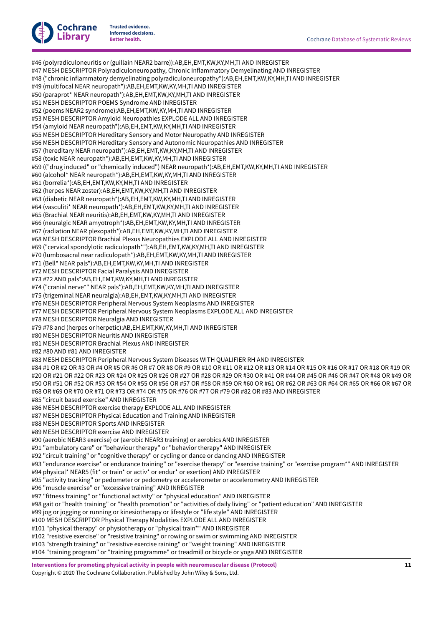

#46 (polyradiculoneuritis or (guillain NEAR2 barre)):AB,EH,EMT,KW,KY,MH,TI AND INREGISTER #61 (borrelia\*):AB,EH,EMT,KW,KY,MH,TI AND INREGISTER #69 ("cervical pondylotic radiculopath\*"):AB,EH,EMT,KW,KY,MH,TI AND INREGISTER #70 (lumbo acral near radiculopath\*):AB,EH,EMT,KW,KY,MH,TI AND INREGISTER #91 "ambulatory care" or "behaviour therapy" or "behavior therapy" AND INREGISTER #47 MESH DESCRIPTOR Polyradiculoneuropathy, Chronic Inflammatory Demyelinating AND INREGISTER #48 ("chronic inflammatory demyelinating polyradiculoneuropathy"):AB,EH,EMT,KW,KY,MH,TI AND INREGISTER #49 (multifocal NEAR neuropath\*):AB,EH,EMT,KW,KY,MH,TI AND INREGISTER #50 (paraprot\* NEAR neuropath\*):AB,EH,EMT,KW,KY,MH,TI AND INREGISTER #51 MESH DESCRIPTOR POEMS Syndrome AND INREGISTER #52 (poems NEAR2 syndrome):AB,EH,EMT,KW,KY,MH,TI AND INREGISTER #53 MESH DESCRIPTOR Amyloid Neuropathies EXPLODE ALL AND INREGISTER #54 (amyloid NEAR neuropath\*):AB,EH,EMT,KW,KY,MH,TI AND INREGISTER #55 MESH DESCRIPTOR Hereditary Sensory and Motor Neuropathy AND INREGISTER #56 MESH DESCRIPTOR Hereditary Sensory and Autonomic Neuropathies AND INREGISTER #57 (hereditary NEAR neuropath\*):AB,EH,EMT,KW,KY,MH,TI AND INREGISTER #58 (toxic NEAR neuropath\*):AB,EH,EMT,KW,KY,MH,TI AND INREGISTER #59 (("drug induced" or "chemically induced") NEAR neuropath\*):AB,EH,EMT,KW,KY,MH,TI AND INREGISTER #60 (alcohol\* NEAR neuropath\*):AB,EH,EMT,KW,KY,MH,TI AND INREGISTER #62 (herpes NEAR zoster):AB,EH,EMT,KW,KY,MH,TI AND INREGISTER #63 (diabetic NEAR neuropath\*):AB,EH,EMT,KW,KY,MH,TI AND INREGISTER #64 (vasculiti\* NEAR neuropath\*):AB,EH,EMT,KW,KY,MH,TI AND INREGISTER #65 (Brachial NEAR neuritis):AB,EH,EMT,KW,KY,MH,TI AND INREGISTER #66 (neuralgic NEAR amyotroph\*):AB,EH,EMT,KW,KY,MH,TI AND INREGISTER #67 (radiation NEAR plexopath\*):AB,EH,EMT,KW,KY,MH,TI AND INREGISTER #68 MESH DESCRIPTOR Brachial Plexus Neuropathies EXPLODE ALL AND INREGISTER #71 (Bell\* NEAR pals\*):AB,EH,EMT,KW,KY,MH,TI AND INREGISTER #72 MESH DESCRIPTOR Facial Paralysis AND INREGISTER #73 #72 AND pals\*:AB,EH,EMT,KW,KY,MH,TI AND INREGISTER #74 ("cranial nerve\*" NEAR pals\*):AB,EH,EMT,KW,KY,MH,TI AND INREGISTER #75 (trigeminal NEAR neuralgia):AB,EH,EMT,KW,KY,MH,TI AND INREGISTER #76 MESH DESCRIPTOR Peripheral Nervous System Neoplasms AND INREGISTER #77 MESH DESCRIPTOR Peripheral Nervous System Neoplasms EXPLODE ALL AND INREGISTER #78 MESH DESCRIPTOR Neuralgia AND INREGISTER #79 #78 and (herpes or herpetic):AB,EH,EMT,KW,KY,MH,TI AND INREGISTER #80 MESH DESCRIPTOR Neuritis AND INREGISTER #81 MESH DESCRIPTOR Brachial Plexus AND INREGISTER #82 #80 AND #81 AND INREGISTER #83 MESH DESCRIPTOR Peripheral Nervous System Diseases WITH QUALIFIER RH AND INREGISTER #84 #1 OR #2 OR #3 OR #4 OR #5 OR #6 OR #7 OR #8 OR #9 OR #10 OR #11 OR #12 OR #13 OR #14 OR #15 OR #16 OR #17 OR #18 OR #19 OR #20 OR #21 OR #22 OR #23 OR #24 OR #25 OR #26 OR #27 OR #28 OR #29 OR #30 OR #41 OR #44 OR #45 OR #46 OR #47 OR #48 OR #49 OR #50 OR #51 OR #52 OR #53 OR #54 OR #55 OR #56 OR #57 OR #58 OR #59 OR #60 OR #61 OR #62 OR #63 OR #64 OR #65 OR #66 OR #67 OR #68 OR #69 OR #70 OR #71 OR #73 OR #74 OR #75 OR #76 OR #77 OR #79 OR #82 OR #83 AND INREGISTER #85 "circuit based exercise" AND INREGISTER #86 MESH DESCRIPTOR exercise therapy EXPLODE ALL AND INREGISTER #87 MESH DESCRIPTOR Physical Education and Training AND INREGISTER #88 MESH DESCRIPTOR Sports AND INREGISTER #89 MESH DESCRIPTOR exercise AND INREGISTER #90 (aerobic NEAR3 exercise) or (aerobic NEAR3 training) or aerobics AND INREGISTER #92 "circuit training" or "cognitive therapy" or cycling or dance or dancing AND INREGISTER #93 "endurance exercise\* or endurance training" or "exercise therapy" or "exercise training" or "exercise program\*" AND INREGISTER #94 physical\* NEAR5 (fit\* or train\* or activ\* or endur\* or exertion) AND INREGISTER #95 "activity tracking" or pedometer or pedometry or accelerometer or accelerometry AND INREGISTER #96 "muscle exercise" or "excessive training" AND INREGISTER #97 "fitness training" or "functional activity" or "physical education" AND INREGISTER #98 gait or "health training" or "health promotion" or "activities of daily living" or "patient education" AND INREGISTER #99 jog or jogging or running or kinesiotherapy or lifestyle or "life style" AND INREGISTER #100 MESH DESCRIPTOR Physical Therapy Modalities EXPLODE ALL AND INREGISTER #101 "physical therapy" or physiotherapy or "physical train\*" AND INREGISTER #102 "resistive exercise" or "resistive training" or rowing or swim or swimming AND INREGISTER #103 " strength training" or " resistive exercise raining" or " weight training" AND INREGISTER #104 "training program" or "training programme" or treadmill or bicycle or yoga AND INREGISTER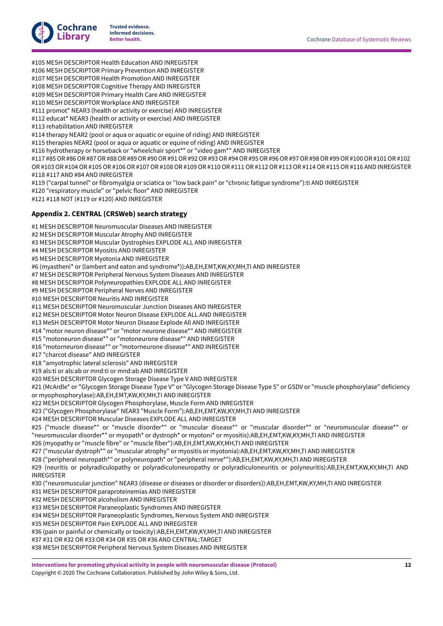

#105 MESH DESCRIPTOR Health Education AND INREGISTER

#106 MESH DESCRIPTOR Primary Prevention AND INREGISTER

#107 MESH DESCRIPTOR Health Promotion AND INREGISTER #108 MESH DESCRIPTOR Cognitive Therapy AND INREGISTER

#109 MESH DESCRIPTOR Primary Health Care AND INREGISTER

#110 MESH DESCRIPTOR Workplace AND INREGISTER

#111 promot\* NEAR3 (health or activity or exercise) AND INREGISTER

#112 educat\* NEAR3 (health or activity or exercise) AND INREGISTER

#113 rehabilitation AND INREGISTER

#114 therapy NEAR2 (pool or aqua or aquatic or equine of riding) AND INREGISTER

#115 therapies NEAR2 (pool or aqua or aquatic or equine of riding) AND INREGISTER

#116 hydrotherapy or horseback or "wheelchair sport\*" or "video gam\*" AND INREGISTER

#117 #85 OR #86 OR #87 OR #88 OR #89 OR #90 OR #91 OR #92 OR #93 OR #94 OR #95 OR #96 OR #97 OR #98 OR #99 OR #100 OR #101 OR #102 OR #103 OR #104 OR #105 OR #106 OR #107 OR #108 OR #109 OR #110 OR #111 OR #112 OR #113 OR #114 OR #115 OR #116 AND INREGISTER #118 #117 AND #84 AND INREGISTER

#119 ("carpal tunnel" or fibromyalgia or ciatica or "low back pain" or "chronic fatigue yndrome"):ti AND INREGISTER

#120 "re piratory mu cle" or "pelvic floor" AND INREGISTER

#121 #118 NOT (#119 or #120) AND INREGISTER

### <span id="page-14-0"></span>**Appendix 2. CENTRAL (CRSWeb) search strategy**

#6 (myastheni\* or (lambert and eaton and syndrome\*)):AB,EH,EMT,KW,KY,MH,TI AND INREGISTER #15 "motoneuron disease\*" or "motoneurone disease\*" AND INREGISTER #16 "motorneuron disease\*" or "motorneurone disease\*" AND INREGISTER #18 "amyotrophic lateral sclerosis" AND INREGISTER or myopho phoryla e):AB,EH,EMT,KW,KY,MH,TI AND INREGISTER "neuromuscular disorder\*" or myopath\* or dystroph\* or myotoni\* or myositis):AB,EH,EMT,KW,KY,MH,TI AND INREGISTER #28 ("peripheral neuropath\*" or polyneuropath\* or "peripheral nerve\*"):AB,EH,EMT,KW,KY,MH,TI AND INREGISTER #30 ("neuromuscular junction" NEAR3 (disease or diseases or disorder or disorders)):AB,EH,EMT,KW,KY,MH,TI AND INREGISTER #1 MESH DESCRIPTOR Neuromuscular Diseases AND INREGISTER #2 MESH DESCRIPTOR Muscular Atrophy AND INREGISTER #3 MESH DESCRIPTOR Muscular Dystrophies EXPLODE ALL AND INREGISTER #4 MESH DESCRIPTOR Myositis AND INREGISTER #5 MESH DESCRIPTOR Myotonia AND INREGISTER #7 MESH DESCRIPTOR Peripheral Nervous System Diseases AND INREGISTER #8 MESH DESCRIPTOR Polyneuropathies EXPLODE ALL AND INREGISTER #9 MESH DESCRIPTOR Peripheral Nerves AND INREGISTER #10 MESH DESCRIPTOR Neuritis AND INREGISTER #11 MESH DESCRIPTOR Neuromuscular Junction Diseases AND INREGISTER #12 MESH DESCRIPTOR Motor Neuron Disease EXPLODE ALL AND INREGISTER #13 MeSH DESCRIPTOR Motor Neuron Disease Explode All AND INREGISTER #14 "motor neuron disease\*" or "motor neurone disease\*" AND INREGISTER #17 "charcot disease" AND INREGISTER #19 als:ti or als:ab or mnd:ti or mnd:ab AND INREGISTER #20 MESH DESCRIPTOR Glycogen Storage Disease Type V AND INREGISTER #21 (McArdle\* or "Glycogen Storage Disease Type V" or "Glycogen Storage Disease Type 5" or GSDV or "muscle phosphorylase" deficiency #22 MESH DESCRIPTOR Glycogen Phosphorylase, Muscle Form AND INREGISTER #23 ("Glycogen Phosphorylase" NEAR3 "Muscle Form"):AB,EH,EMT,KW,KY,MH,TI AND INREGISTER #24 MESH DESCRIPTOR Muscular Diseases EXPLODE ALL AND INREGISTER #25 ("muscle disease\*" or "muscle disorder\*" or "muscular disease\*" or "muscular disorder\*" or "neuromuscular disease\*" or #26 (myopathy or "muscle fibre" or "muscle fiber"):AB,EH,EMT,KW,KY,MH,TI AND INREGISTER #27 ("muscular dystroph\*" or "muscular atrophy" or myositis or myotonia):AB,EH,EMT,KW,KY,MH,TI AND INREGISTER #29 (neuritis or polyradiculopathy or polyradiculoneuropathy or polyradiculoneuritis or polyneuritis):AB,EH,EMT,KW,KY,MH,TI AND INREGISTER #31 MESH DESCRIPTOR paraproteinemias AND INREGISTER #32 MESH DESCRIPTOR alcoholism AND INREGISTER #33 MESH DESCRIPTOR Paraneoplastic Syndromes AND INREGISTER #34 MESH DESCRIPTOR Paraneoplastic Syndromes, Nervous System AND INREGISTER #35 MESH DESCRIPTOR Pain EXPLODE ALL AND INREGISTER #36 (pain or painful or chemically or toxicity):AB,EH,EMT,KW,KY,MH,TI AND INREGISTER #37 #31 OR #32 OR #33 OR #34 OR #35 OR #36 AND CENTRAL:TARGET

#38 MESH DESCRIPTOR Peripheral Nervous System Diseases AND INREGISTER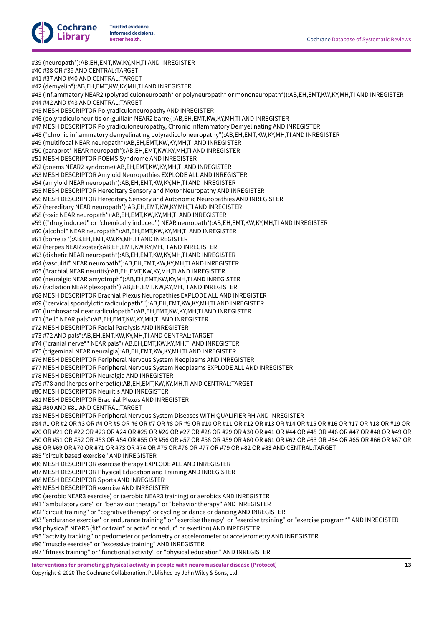

 #39 (neuropath\*):AB,EH,EMT,KW,KY,MH,TI AND INREGISTER #42 (demyelin\*):AB,EH,EMT,KW,KY,MH,TI AND INREGISTER #43 (Inflammatory NEAR2 (polyradiculoneuropath\* or polyneuropath\* or mononeuropath\*)):AB,EH,EMT,KW,KY,MH,TI AND INREGISTER #46 (polyradiculoneuritis or (guillain NEAR2 barre)):AB,EH,EMT,KW,KY,MH,TI AND INREGISTER #61 (borrelia\*):AB,EH,EMT,KW,KY,MH,TI AND INREGISTER #62 (herpes NEAR zoster):AB,EH,EMT,KW,KY,MH,TI AND INREGISTER #70 (lumbo acral near radiculopath\*):AB,EH,EMT,KW,KY,MH,TI AND INREGISTER #91 "ambulatory care" or "behaviour therapy" or "behavior therapy" AND INREGISTER #40 #38 OR #39 AND CENTRAL:TARGET #41 #37 AND #40 AND CENTRAL: TARGET #44 #42 AND #43 AND CENTRAL: TARGET #45 MESH DESCRIPTOR Polyradiculoneuropathy AND INREGISTER #47 MESH DESCRIPTOR Polyradiculoneuropathy, Chronic Inflammatory Demyelinating AND INREGISTER #48 ("chronic inflammatory demyelinating polyradiculoneuropathy"):AB,EH,EMT,KW,KY,MH,TI AND INREGISTER #49 (multifocal NEAR neuropath\*):AB,EH,EMT,KW,KY,MH,TI AND INREGISTER #50 (paraprot\* NEAR neuropath\*):AB,EH,EMT,KW,KY,MH,TI AND INREGISTER #51 MESH DESCRIPTOR POEMS Syndrome AND INREGISTER #52 (poems NEAR2 syndrome):AB,EH,EMT,KW,KY,MH,TI AND INREGISTER #53 MESH DESCRIPTOR Amyloid Neuropathies EXPLODE ALL AND INREGISTER #54 (amyloid NEAR neuropath\*):AB,EH,EMT,KW,KY,MH,TI AND INREGISTER #55 MESH DESCRIPTOR Hereditary Sensory and Motor Neuropathy AND INREGISTER #56 MESH DESCRIPTOR Hereditary Sensory and Autonomic Neuropathies AND INREGISTER #57 (hereditary NEAR neuropath\*):AB,EH,EMT,KW,KY,MH,TI AND INREGISTER #58 (toxic NEAR neuropath\*):AB,EH,EMT,KW,KY,MH,TI AND INREGISTER #59 (("drug induced" or "chemically induced") NEAR neuropath\*):AB,EH,EMT,KW,KY,MH,TI AND INREGISTER #60 (alcohol\* NEAR neuropath\*):AB,EH,EMT,KW,KY,MH,TI AND INREGISTER #63 (diabetic NEAR neuropath\*):AB,EH,EMT,KW,KY,MH,TI AND INREGISTER #64 (vasculiti\* NEAR neuropath\*):AB,EH,EMT,KW,KY,MH,TI AND INREGISTER #65 (Brachial NEAR neuritis):AB,EH,EMT,KW,KY,MH,TI AND INREGISTER #66 (neuralgic NEAR amyotroph\*):AB,EH,EMT,KW,KY,MH,TI AND INREGISTER #67 (radiation NEAR plexopath\*):AB,EH,EMT,KW,KY,MH,TI AND INREGISTER #68 MESH DESCRIPTOR Brachial Plexus Neuropathies EXPLODE ALL AND INREGISTER #69 ("cervical spondylotic radiculopath\*"):AB,EH,EMT,KW,KY,MH,TI AND INREGISTER #71 (Bell\* NEAR pals\*): AB, EH, EMT, KW, KY, MH, TI AND INREGISTER #72 MESH DESCRIPTOR Facial Paralysis AND INREGISTER #73 #72 AND pals\*:AB,EH,EMT,KW,KY,MH,TI AND CENTRAL:TARGET #74 ("cranial nerve\*" NEAR pals\*):AB,EH,EMT,KW,KY,MH,TI AND INREGISTER #75 (trigeminal NEAR neuralgia):AB,EH,EMT,KW,KY,MH,TI AND INREGISTER #76 MESH DESCRIPTOR Peripheral Nervous System Neoplasms AND INREGISTER #77 MESH DESCRIPTOR Peripheral Nervous System Neoplasms EXPLODE ALL AND INREGISTER #78 MESH DESCRIPTOR Neuralgia AND INREGISTER #79 #78 and (herpes or herpetic): AB, EH, EMT, KW, KY, MH, TI AND CENTRAL: TARGET #80 MESH DESCRIPTOR Neuritis AND INREGISTER #81 MESH DESCRIPTOR Brachial Plexus AND INREGISTER #82 #80 AND #81 AND CENTRAL:TARGET #83 MESH DESCRIPTOR Peripheral Nervous System Diseases WITH QUALIFIER RH AND INREGISTER #84 #1 OR #2 OR #3 OR #4 OR #5 OR #6 OR #7 OR #8 OR #9 OR #10 OR #11 OR #12 OR #13 OR #14 OR #15 OR #16 OR #17 OR #18 OR #19 OR #20 OR #21 OR #22 OR #23 OR #24 OR #25 OR #26 OR #27 OR #28 OR #29 OR #30 OR #41 OR #44 OR #45 OR #46 OR #47 OR #48 OR #49 OR #50 OR #51 OR #52 OR #53 OR #54 OR #55 OR #56 OR #57 OR #58 OR #59 OR #60 OR #61 OR #62 OR #63 OR #64 OR #65 OR #66 OR #67 OR #68 OR #69 OR #70 OR #71 OR #73 OR #74 OR #75 OR #76 OR #77 OR #79 OR #82 OR #83 AND CENTRAL:TARGET #85 "circuit based exercise" AND INREGISTER #86 MESH DESCRIPTOR exercise therapy EXPLODE ALL AND INREGISTER #87 MESH DESCRIPTOR Physical Education and Training AND INREGISTER #88 MESH DESCRIPTOR Sports AND INREGISTER #89 MESH DESCRIPTOR exercise AND INREGISTER #90 (aerobic NEAR3 exercise) or (aerobic NEAR3 training) or aerobics AND INREGISTER #92 "circuit training" or "cognitive therapy" or cycling or dance or dancing AND INREGISTER #93 "endurance exercise\* or endurance training" or "exercise therapy" or "exercise training" or "exercise program\*" AND INREGISTER #94 physical\* NEAR5 (fit\* or train\* or activ\* or endur\* or exertion) AND INREGISTER #95 "activity tracking" or pedometer or pedometry or accelerometer or accelerometry AND INREGISTER #96 "muscle exercise" or "excessive training" AND INREGISTER #97 "fitness training" or "functional activity" or "physical education" AND INREGISTER

Interventions for promoting physical activity in people with neuromuscular disease (Protocol)

Copyright © 2020 The Cochrane Collaboration. Published by John Wiley & Sons, Ltd.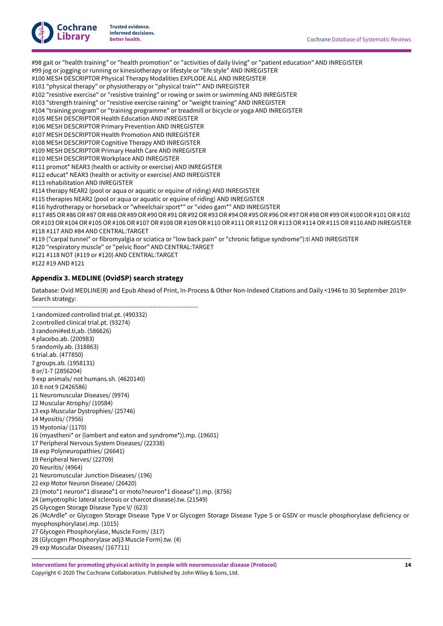

 #113 rehabilitation AND INREGISTER #116 hydrotherapy or horseback or "wheelchair sport\*" or "video gam\*" AND INREGISTER #120 "respiratory muscle" or "pelvic floor" AND CENTRAL:TARGET #98 gait or "health training" or "health promotion" or "activities of daily living" or "patient education" AND INREGISTER #99 jog or jogging or running or kinesiotherapy or lifestyle or "life style" AND INREGISTER #100 MESH DESCRIPTOR Physical Therapy Modalities EXPLODE ALL AND INREGISTER #101 "physical therapy" or physiotherapy or "physical train\*" AND INREGISTER #102 "resistive exercise" or "resistive training" or rowing or swim or swimming AND INREGISTER #103 "strength training" or "resistive exercise raining" or "weight training" AND INREGISTER #104 "training program" or "training programme" or treadmill or bicycle or yoga AND INREGISTER #105 MESH DESCRIPTOR Health Education AND INREGISTER #106 MESH DESCRIPTOR Primary Prevention AND INREGISTER #107 MESH DESCRIPTOR Health Promotion AND INREGISTER #108 MESH DESCRIPTOR Cognitive Therapy AND INREGISTER #109 MESH DESCRIPTOR Primary Health Care AND INREGISTER #110 MESH DESCRIPTOR Workplace AND INREGISTER #111 promot\* NEAR3 (health or activity or exercise) AND INREGISTER #112 educat\* NEAR3 (health or activity or exercise) AND INREGISTER #114 therapy NEAR2 (pool or aqua or aquatic or equine of riding) AND INREGISTER #115 therapies NEAR2 (pool or aqua or aquatic or equine of riding) AND INREGISTER #117 #85 OR #86 OR #87 OR #88 OR #89 OR #90 OR #91 OR #92 OR #93 OR #94 OR #95 OR #96 OR #97 OR #98 OR #99 OR #100 OR #101 OR #102 OR #103 OR #104 OR #105 OR #106 OR #107 OR #108 OR #109 OR #110 OR #111 OR #112 OR #113 OR #114 OR #115 OR #116 AND INREGISTER #118 #117 AND #84 AND CENTRAL:TARGET #119 ("carpal tunnel" or fibromyalgia or ciatica or "low back pain" or "chronic fatigue yndrome"):ti AND INREGISTER #121 #118 NOT (#119 or #120) AND CENTRAL:TARGET #122 #19 AND #121

### <span id="page-16-0"></span>Appendix 3. MEDLINE (OvidSP) search strategy

Database: Ovid MEDLINE(R) and Epub Ahead of Print, In-Process & Other Non-Indexed Citations and Daily <1946 to 30 September 2019> Search strategy:

 1 randomized controlled trial.pt. (490332) 11 Neuromuscular Diseases/ (9974) 16 (myastheni\* or (lambert and eaton and syndrome\*)).mp. (19601) 21 Neuromuscular Junction Diseases/ (196) 24 (amyotrophic lateral sclerosis or charcot disease).tw. (21549) -------------------------------------------------------------------------------- 2 controlled clinical trial.pt. (93274) 3 randomi#ed.ti,ab. (586626) 4 placebo.ab. (200983) 5 randomly.ab. (318863) 6 trial.ab. (477850) 7 groups.ab. (1958131) 8 or/1-7 (2856204) 9 exp animals/ not humans.sh. (4620140) 10 8 not 9 (2426586) 12 Muscular Atrophy/ (10584) 13 exp Muscular Dystrophies/ (25746) 14 Myositis/ (7956) 15 Myotonia/ (1170) 17 Peripheral Nervous System Diseases/ (22338) 18 exp Polyneuropathies/ (26641) 19 Peripheral Nerves/ (22709) 20 Neuritis/ (4964) 22 exp Motor Neuron Disease/ (26420) 23 (moto\*1 neuron\*1 disease\*1 or moto?neuron\*1 disease\*1).mp. (8756) 25 Glycogen Storage Disease Type V/ (623) 26 (McArdle\* or Glycogen Storage Disease Type V or Glycogen Storage Disease Type 5 or GSDV or muscle phosphorylase deficiency or myophosphorylase).mp. (1015) 27 Glycogen Phosphorylase, Muscle Form/ (317) 28 (Glycogen Phosphorylase adj3 Muscle Form).tw. (4) 29 exp Muscular Diseases/ (167711)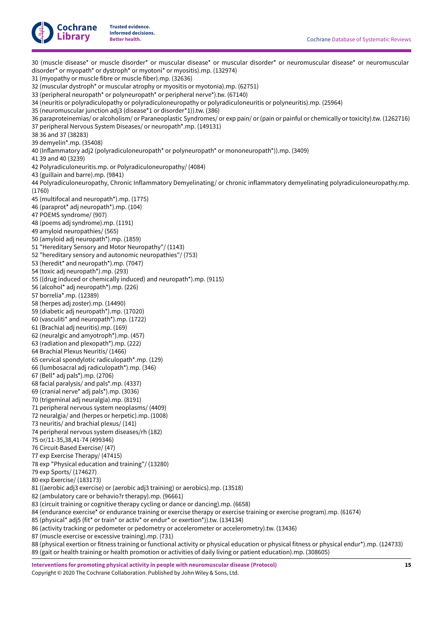disorder\* or myopath\* or dystroph\* or myotoni\* or myositis).mp. (132974) 35 (neuromuscular junction adj3 (disease\*1 or disorder\*1)).tw. (386) 36 paraproteinemias/ or alcoholism/ or Paraneoplastic Syndromes/ or exp pain/ or (pain or painful or chemically or toxicity).tw. (1262716) 40 (Inflammatory adj2 (polyradiculoneuropath\* or polyneuropath\* or mononeuropath\*)).mp. (3409) 42 Polyradiculoneuritis.mp. or Polyradiculoneuropathy/ (4084) 44 Polyradiculoneuropathy, Chronic Inflammatory Demyelinating/ or chronic inflammatory demyelinating polyradiculoneuropathy.mp. 51 "Hereditary Sensory and Motor Neuropathy"/ (1143) 66 (lumbosacral adj radiculopath\*).mp. (346) 76 Circuit-Based Exercise/ (47) 82 (ambulatory care or behavio?r therapy).mp. (96661) 30 (muscle disease\* or muscle disorder\* or muscular disease\* or muscular disorder\* or neuromuscular disease\* or neuromuscular 31 (myopathy or muscle fibre or muscle fiber).mp. (32636) 32 (muscular dystroph<sup>\*</sup> or muscular atrophy or myositis or myotonia).mp. (62751) 33 (peripheral neuropath\* or polyneuropath\* or peripheral nerve\*).tw. (67140) 34 (neuritis or polyradiculopathy or polyradiculoneuropathy or polyradiculoneuritis or polyneuritis).mp. (25964) 37 peripheral Nervous System Diseases/ or neuropath\*.mp. (149131) 38 36 and 37 (38283) 39 demyelin\*.mp. (35408) 41 39 and 40 (3239) 43 (guillain and barre).mp. (9841) (1760) 45 (multifocal and neuropath\*).mp. (1775) 46 (paraprot\* adj neuropath\*).mp. (104) 47 POEMS yndrome/ (907) 48 (poems adj syndrome).mp. (1191) 49 amyloid neuropathies/ (565) 50 (amyloid adj neuropath\*).mp. (1859) 52 "hereditary sensory and autonomic neuropathies"/ (753) 53 (heredit\* and neuropath\*).mp. (7047) 54 (toxic adj neuropath\*).mp. (293) 55 ((drug induced or chemically induced) and neuropath\*).mp. (9115) 56 (alcohol\* adj neuropath\*).mp. (226) 57 borrelia\*.mp. (12389) 58 (herpes adj zoster).mp. (14490) 59 (diabetic adj neuropath\*).mp. (17020) 60 (va culiti\* and neuropath\*).mp. (1722) 61 (Brachial adj neuritis).mp. (169) 62 (neuralgic and amyotroph\*).mp. (457) 63 (radiation and plexopath\*).mp. (222) 64 Brachial Plexus Neuritis/ (1466) 65 cervical spondylotic radiculopath\*.mp. (129) 67 (Bell\* adj pals\*).mp. (2706) 68 facial paralysis/ and pals\*.mp. (4337) 69 (cranial nerve\* adj pals\*).mp. (3036) 70 (trigeminal adj neuralgia).mp. (8191) 71 peripheral nervous system neoplasms/ (4409) 72 neuralgia/ and (herpes or herpetic).mp. (1008) 73 neuritis/ and brachial plexus/ (141) 74 peripheral nervous system diseases/rh (182) 75 or/11-35,38,41-74 (499346) 77 exp Exercise Therapy/ (47415) 78 exp "Physical education and training"/ (13280) 79 exp Sports/ (174627) 80 exp Exercise/ (183173) 81 ((aerobic adj3 exercise) or (aerobic adj3 training) or aerobics).mp. (13518) 83 (circuit training or cognitive therapy cycling or dance or dancing).mp. (6658) 84 (endurance exercise\* or endurance training or exercise therapy or exercise training or exercise program).mp. (61674) 85 (physical\* adj5 (fit\* or train\* or activ\* or endur\* or exertion\*)).tw. (134134) 86 (activity tracking or pedometer or pedometry or accelerometer or accelerometry).tw. (13436) 87 (muscle exercise or excessive training).mp. (731) 88 (physical exertion or fitness training or functional activity or physical education or physical fitness or physical endur\*).mp. (124733) 89 (gait or health training or health promotion or activities of daily living or patient education).mp. (308605)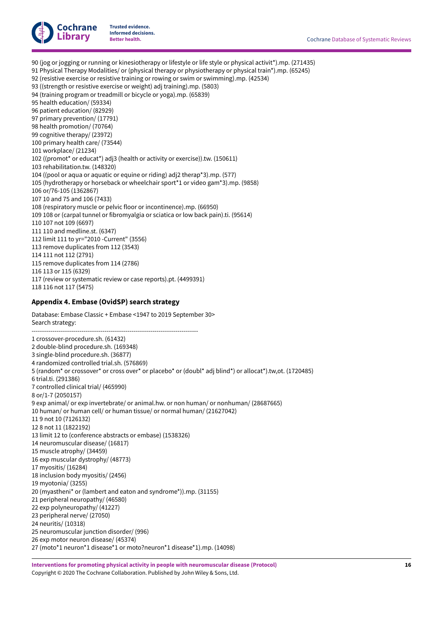

105 (hydrotherapy or horseback or wheelchair sport\*1 or video gam\*3).mp. (9858) 90 (jog or jogging or running or kinesiotherapy or lifestyle or life style or physical activit\*).mp. (271435) 91 Physical Therapy Modalities/ or (physical therapy or physiotherapy or physical train\*).mp. (65245) 92 (resistive exercise or resistive training or rowing or swim or swimming).mp. (42534) 93 ((strength or resistive exercise or weight) adj training).mp. (5803) 94 (training program or treadmill or bicycle or yoga).mp. (65839) 95 health education/ (59334) 96 patient education/ (82929) 97 primary prevention/ (17791) 98 health promotion/ (70764) 99 cognitive therapy/ (23972) 100 primary health care/ (73544) 101 workplace/ (21234) 102 ((promot\* or educat\*) adj3 (health or activity or exercise)).tw. (150611) 103 rehabilitation.tw. (148320) 104 ((pool or aqua or aquatic or equine or riding) adj2 therap\*3).mp. (577) 106 or/76-105 (1362867) 107 10 and 75 and 106 (7433) 108 (respiratory muscle or pelvic floor or incontinence).mp. (66950) 109 108 or (carpal tunnel or fibromyalgia or ciatica or low back pain).ti. (95614) 110 107 not 109 (6697) 111 110 and medline.st. (6347) 112 limit 111 to yr="2010 -Current" (3556) 113 remove duplicates from 112 (3543) 114 111 not 112 (2791) 115 remove duplicates from 114 (2786) 116 113 or 115 (6329) 117 (review or systematic review or case reports).pt. (4499391) 118 116 not 117 (5475)

#### <span id="page-18-0"></span>**Appendix 4. Embase (OvidSP) search strategy**

Database: Embase Classic + Embase <1947 to 2019 September 30> Search strategy:

4 randomized controlled trial.sh. (576869) 14 neuromuscular disease/ (16817) 20 (myastheni\* or (lambert and eaton and syndrome\*)).mp. (31155) 25 neuromuscular junction disorder/ (996) -------------------------------------------------------------------------------- 1 crossover-procedure.sh. (61432) 2 double-blind procedure.sh. (169348) 3 single-blind procedure.sh. (36877) 5 (random<sup>\*</sup> or crossover<sup>\*</sup> or cross over<sup>\*</sup> or placebo<sup>\*</sup> or (doubl<sup>\*</sup> adj blind<sup>\*</sup>) or allocat<sup>\*</sup>).tw,ot. (1720485) 6 trial.ti. (291386) 7 controlled clinical trial/ (465990) 8 or/1-7 (2050157) 9 exp animal/ or exp invertebrate/ or animal.hw. or non human/ or nonhuman/ (28687665) 10 human/ or human cell/ or human tissue/ or normal human/ (21627042) 11 9 not 10 (7126132) 12 8 not 11 (1822192) 13 limit 12 to (conference abstracts or embase) (1538326) 15 muscle atrophy/ (34459) 16 exp muscular dystrophy/ (48773) 17 myositis/ (16284) 18 inclusion body myositis/ (2456) 19 myotonia/ (3255) 21 peripheral neuropathy/ (46580) 22 exp polyneuropathy/ (41227) 23 peripheral nerve/ (27050) 24 neuritis/ (10318) 26 exp motor neuron disease/ (45374) 27 (moto\*1 neuron\*1 disease\*1 or moto?neuron\*1 disease\*1).mp. (14098)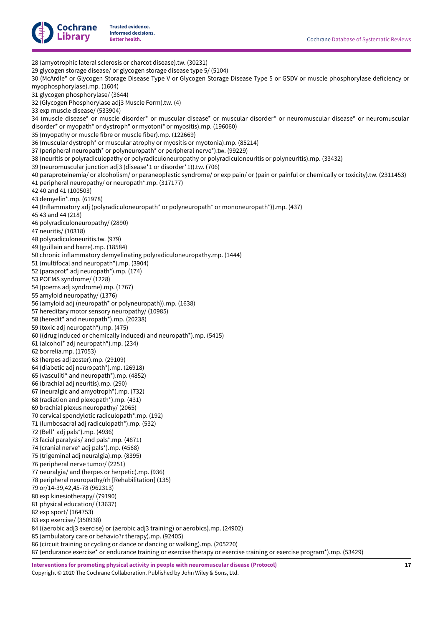

28 (amyotrophic lateral sclerosis or charcot disease).tw. (30231) disorder\* or myopath\* or dystroph\* or myotoni\* or myositis).mp. (196060) 39 (neuromuscular junction adj3 (disease\*1 or disorder\*1)).tw. (706) 40 paraproteinemia/ or alcoholism/ or paraneoplastic syndrome/ or exp pain/ or (pain or painful or chemically or toxicity).tw. (2311453) 44 (Inflammatory adj (polyradiculoneuropath\* or polyneuropath\* or mononeuropath\*)).mp. (437) 71 (lumbosacral adj radiculopath\*).mp. (532) 85 (ambulatory care or behavio?r therapy).mp. (92405) 29 glycogen storage disease/ or glycogen storage disease type 5/ (5104) 30 (McArdle\* or Glycogen Storage Disease Type V or Glycogen Storage Disease Type 5 or GSDV or muscle phosphorylase deficiency or myophosphorylase).mp. (1604) 31 glycogen phosphorylase/ (3644) 32 (Glycogen Phosphorylase adj3 Muscle Form).tw. (4) 33 exp muscle disease/ (533904) 34 (muscle disease\* or muscle disorder\* or muscular disease\* or muscular disorder\* or neuromuscular disease\* or neuromuscular 35 (myopathy or muscle fibre or muscle fiber).mp. (122669) 36 (muscular dystroph<sup>\*</sup> or muscular atrophy or myositis or myotonia).mp. (85214) 37 (peripheral neuropath\* or polyneuropath\* or peripheral nerve\*).tw. (99229) 38 (neuritis or polyradiculopathy or polyradiculoneuropathy or polyradiculoneuritis or polyneuritis).mp. (33432) 41 peripheral neuropathy/ or neuropath\*.mp. (317177) 42 40 and 41 (100503) 43 demyelin\*.mp. (61978) 45 43 and 44 (218) 46 polyradiculoneuropathy/ (2890) 47 neuritis/ (10318) 48 polyradiculoneuritis.tw. (979) 49 (guillain and barre).mp. (18584) 50 chronic inflammatory demyelinating polyradiculoneuropathy.mp. (1444) 51 (multifocal and neuropath\*).mp. (3904) 52 (paraprot\* adj neuropath\*).mp. (174) 53 POEMS yndrome/ (1228) 54 (poems adj syndrome).mp. (1767) 55 amyloid neuropathy/ (1376) 56 (amyloid adj (neuropath\* or polyneuropath)).mp. (1638) 57 hereditary motor sensory neuropathy/ (10985) 58 (heredit\* and neuropath\*).mp. (20238) 59 (toxic adj neuropath\*).mp. (475) 60 ((drug induced or chemically induced) and neuropath\*).mp. (5415) 61 (alcohol\* adj neuropath\*).mp. (234) 62 borrelia.mp. (17053) 63 (herpes adj zoster).mp. (29109) 64 (diabetic adj neuropath\*).mp. (26918) 65 (vasculiti\* and neuropath\*).mp. (4852) 66 (brachial adj neuritis).mp. (290) 67 (neuralgic and amyotroph\*).mp. (732) 68 (radiation and plexopath\*).mp. (431) 69 brachial plexus neuropathy/ (2065) 70 cervical spondylotic radiculopath\*.mp. (192) 72 (Bell\* adj pals\*).mp. (4936) 73 facial paralysis/ and pals\*.mp. (4871) 74 (cranial nerve\* adj pals\*).mp. (4568) 75 (trigeminal adj neuralgia).mp. (8395) 76 peripheral nerve tumor/ (2251) 77 neuralgia/ and (herpes or herpetic).mp. (936) 78 peripheral neuropathy/rh [Rehabilitation] (135) 79 or/14-39,42,45-78 (962313) 80 exp kinesiotherapy/ (79190) 81 physical education/ (13637) 82 exp sport/ (164753) 83 exp exercise/ (350938) 84 ((aerobic adj3 exercise) or (aerobic adj3 training) or aerobics).mp. (24902) 86 (circuit training or cycling or dance or dancing or walking).mp. (205220)

87 (endurance exercise\* or endurance training or exercise therapy or exercise training or exercise program\*).mp. (53429)